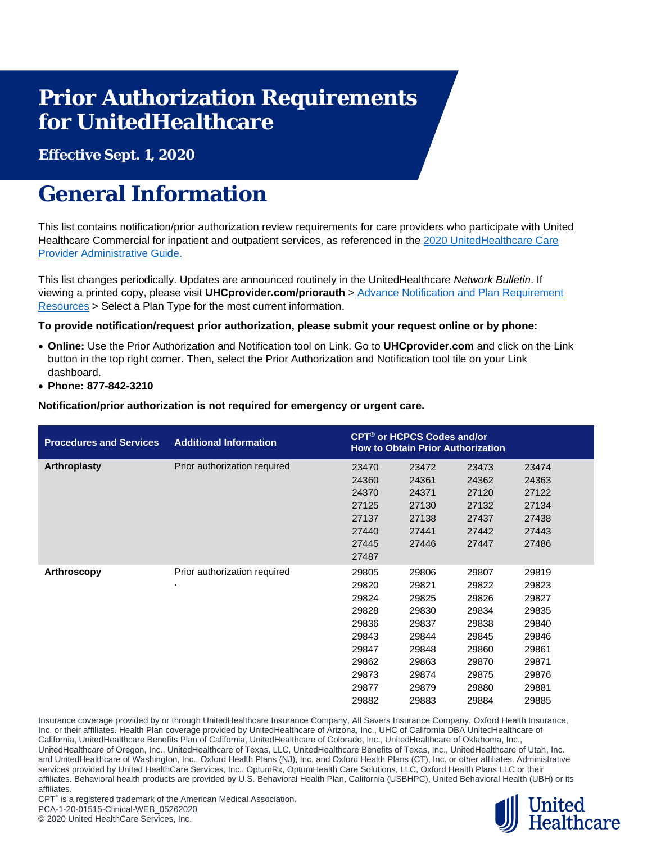# **Prior Authorization Requirements for UnitedHealthcare**

**Effective Sept. 1, 2020**

## **General Information**

This list contains notification/prior authorization review requirements for care providers who participate with United Healthcare Commercial for inpatient and outpatient services, as referenced in the 2020 UnitedHealthcare Care [Provider Administrative Guide.](https://www.uhcprovider.com/en/admin-guides/administrative-guides-manuals-2020.html)

This list changes periodically. Updates are announced routinely in the UnitedHealthcare *Network Bulletin*. If viewing a printed copy, please visit **UHCprovider.com/priorauth** > [Advance Notification and](https://www.uhcprovider.com/en/prior-auth-advance-notification/adv-notification-plan-reqs.html) Plan Requirement [Resources](https://www.uhcprovider.com/en/prior-auth-advance-notification/adv-notification-plan-reqs.html) > Select a Plan Type for the most current information.

### **To provide notification/request prior authorization, please submit your request online or by phone:**

- **Online:** Use the Prior Authorization and Notification tool on Link. Go to **UHCprovider.com** and click on the Link button in the top right corner. Then, select the Prior Authorization and Notification tool tile on your Link dashboard.
- **Phone: 877-842-3210**

**Notification/prior authorization is not required for emergency or urgent care.**

| <b>Procedures and Services</b> | <b>Additional Information</b> | CPT <sup>®</sup> or HCPCS Codes and/or<br><b>How to Obtain Prior Authorization</b> |       |       |       |  |
|--------------------------------|-------------------------------|------------------------------------------------------------------------------------|-------|-------|-------|--|
| <b>Arthroplasty</b>            | Prior authorization required  | 23470                                                                              | 23472 | 23473 | 23474 |  |
|                                |                               | 24360                                                                              | 24361 | 24362 | 24363 |  |
|                                |                               | 24370                                                                              | 24371 | 27120 | 27122 |  |
|                                |                               | 27125                                                                              | 27130 | 27132 | 27134 |  |
|                                |                               | 27137                                                                              | 27138 | 27437 | 27438 |  |
|                                |                               | 27440                                                                              | 27441 | 27442 | 27443 |  |
|                                |                               | 27445                                                                              | 27446 | 27447 | 27486 |  |
|                                |                               | 27487                                                                              |       |       |       |  |
| Arthroscopy                    | Prior authorization required  | 29805                                                                              | 29806 | 29807 | 29819 |  |
|                                | ٠                             | 29820                                                                              | 29821 | 29822 | 29823 |  |
|                                |                               | 29824                                                                              | 29825 | 29826 | 29827 |  |
|                                |                               | 29828                                                                              | 29830 | 29834 | 29835 |  |
|                                |                               | 29836                                                                              | 29837 | 29838 | 29840 |  |
|                                |                               | 29843                                                                              | 29844 | 29845 | 29846 |  |
|                                |                               | 29847                                                                              | 29848 | 29860 | 29861 |  |
|                                |                               | 29862                                                                              | 29863 | 29870 | 29871 |  |
|                                |                               | 29873                                                                              | 29874 | 29875 | 29876 |  |
|                                |                               | 29877                                                                              | 29879 | 29880 | 29881 |  |
|                                |                               | 29882                                                                              | 29883 | 29884 | 29885 |  |

Insurance coverage provided by or through UnitedHealthcare Insurance Company, All Savers Insurance Company, Oxford Health Insurance, Inc. or their affiliates. Health Plan coverage provided by UnitedHealthcare of Arizona, Inc., UHC of California DBA UnitedHealthcare of California, UnitedHealthcare Benefits Plan of California, UnitedHealthcare of Colorado, Inc., UnitedHealthcare of Oklahoma, Inc., UnitedHealthcare of Oregon, Inc., UnitedHealthcare of Texas, LLC, UnitedHealthcare Benefits of Texas, Inc., UnitedHealthcare of Utah, Inc. and UnitedHealthcare of Washington, Inc., Oxford Health Plans (NJ), Inc. and Oxford Health Plans (CT), Inc. or other affiliates. Administrative services provided by United HealthCare Services, Inc., OptumRx, OptumHealth Care Solutions, LLC, Oxford Health Plans LLC or their affiliates. Behavioral health products are provided by U.S. Behavioral Health Plan, California (USBHPC), United Behavioral Health (UBH) or its affiliates.



CPT<sup>®</sup> is a registered trademark of the American Medical Association. PCA-1-20-01515-Clinical-WEB\_05262020

© 2020 United HealthCare Services, Inc.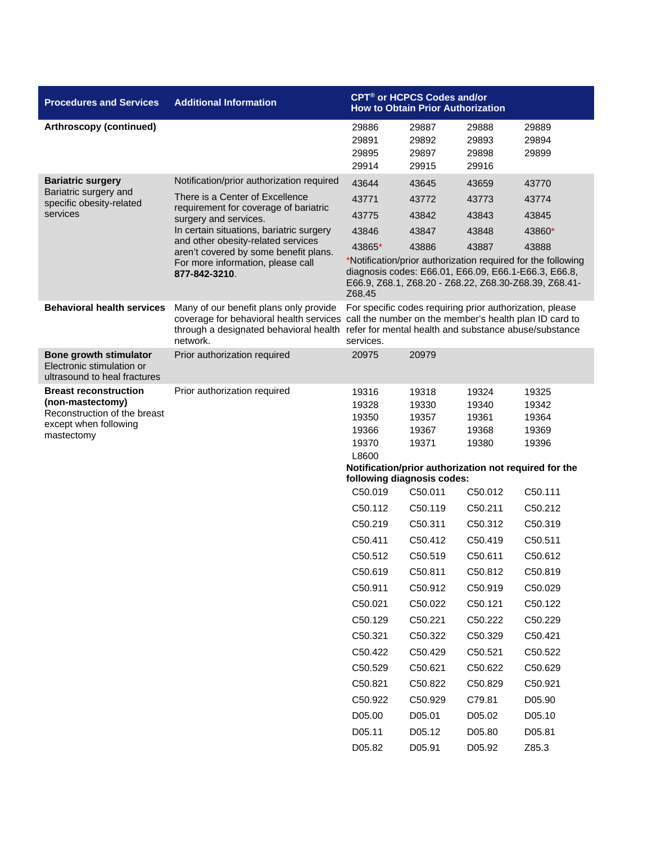| <b>Procedures and Services</b>                                                      | <b>Additional Information</b>                                                                | CPT <sup>®</sup> or HCPCS Codes and/or<br><b>How to Obtain Prior Authorization</b>                                                                                                                                               |                                  |                                  |                                                                                                                                                                               |  |
|-------------------------------------------------------------------------------------|----------------------------------------------------------------------------------------------|----------------------------------------------------------------------------------------------------------------------------------------------------------------------------------------------------------------------------------|----------------------------------|----------------------------------|-------------------------------------------------------------------------------------------------------------------------------------------------------------------------------|--|
| Arthroscopy (continued)                                                             |                                                                                              | 29886<br>29891<br>29895<br>29914                                                                                                                                                                                                 | 29887<br>29892<br>29897<br>29915 | 29888<br>29893<br>29898<br>29916 | 29889<br>29894<br>29899                                                                                                                                                       |  |
| <b>Bariatric surgery</b>                                                            | Notification/prior authorization required                                                    | 43644                                                                                                                                                                                                                            | 43645                            | 43659                            | 43770                                                                                                                                                                         |  |
| Bariatric surgery and<br>specific obesity-related                                   | There is a Center of Excellence                                                              | 43771                                                                                                                                                                                                                            | 43772                            | 43773                            | 43774                                                                                                                                                                         |  |
| services                                                                            | requirement for coverage of bariatric<br>surgery and services.                               | 43775                                                                                                                                                                                                                            | 43842                            | 43843                            | 43845                                                                                                                                                                         |  |
|                                                                                     | In certain situations, bariatric surgery                                                     | 43846                                                                                                                                                                                                                            | 43847                            | 43848                            | 43860*                                                                                                                                                                        |  |
|                                                                                     | and other obesity-related services<br>aren't covered by some benefit plans.                  | 43865*                                                                                                                                                                                                                           | 43886                            | 43887                            | 43888                                                                                                                                                                         |  |
|                                                                                     | For more information, please call<br>877-842-3210.                                           | Z68.45                                                                                                                                                                                                                           |                                  |                                  | *Notification/prior authorization required for the following<br>diagnosis codes: E66.01, E66.09, E66.1-E66.3, E66.8,<br>E66.9, Z68.1, Z68.20 - Z68.22, Z68.30-Z68.39, Z68.41- |  |
| <b>Behavioral health services</b>                                                   | Many of our benefit plans only provide<br>through a designated behavioral health<br>network. | For specific codes requiring prior authorization, please<br>coverage for behavioral health services call the number on the member's health plan ID card to<br>refer for mental health and substance abuse/substance<br>services. |                                  |                                  |                                                                                                                                                                               |  |
| Bone growth stimulator<br>Electronic stimulation or<br>ultrasound to heal fractures | Prior authorization required                                                                 | 20975                                                                                                                                                                                                                            | 20979                            |                                  |                                                                                                                                                                               |  |
| <b>Breast reconstruction</b>                                                        | Prior authorization required                                                                 | 19316                                                                                                                                                                                                                            | 19318                            | 19324                            | 19325                                                                                                                                                                         |  |
| (non-mastectomy)<br>Reconstruction of the breast                                    |                                                                                              | 19328                                                                                                                                                                                                                            | 19330                            | 19340                            | 19342                                                                                                                                                                         |  |
| except when following                                                               |                                                                                              | 19350<br>19366                                                                                                                                                                                                                   | 19357<br>19367                   | 19361<br>19368                   | 19364<br>19369                                                                                                                                                                |  |
| mastectomy                                                                          |                                                                                              | 19370                                                                                                                                                                                                                            | 19371                            | 19380                            | 19396                                                                                                                                                                         |  |
|                                                                                     |                                                                                              | L8600                                                                                                                                                                                                                            |                                  |                                  |                                                                                                                                                                               |  |
|                                                                                     |                                                                                              | Notification/prior authorization not required for the<br>following diagnosis codes:                                                                                                                                              |                                  |                                  |                                                                                                                                                                               |  |
|                                                                                     |                                                                                              | C50.019                                                                                                                                                                                                                          | C50.011                          | C50.012                          | C50.111                                                                                                                                                                       |  |
|                                                                                     |                                                                                              | C50.112                                                                                                                                                                                                                          | C50.119                          | C50.211                          | C50.212                                                                                                                                                                       |  |
|                                                                                     |                                                                                              | C50.219                                                                                                                                                                                                                          | C50.311                          | C50.312                          | C50.319                                                                                                                                                                       |  |
|                                                                                     |                                                                                              | C50.411                                                                                                                                                                                                                          | C50.412                          | C50.419                          | C50.511                                                                                                                                                                       |  |
|                                                                                     |                                                                                              | C50.512                                                                                                                                                                                                                          | C50.519                          | C50.611                          | C50.612                                                                                                                                                                       |  |
|                                                                                     |                                                                                              | C50.619                                                                                                                                                                                                                          | C50.811                          | C50.812                          | C50.819                                                                                                                                                                       |  |
|                                                                                     |                                                                                              | C50.911                                                                                                                                                                                                                          | C50.912                          | C50.919                          | C50.029                                                                                                                                                                       |  |
|                                                                                     |                                                                                              | C50.021                                                                                                                                                                                                                          | C50.022                          | C50.121                          | C50.122                                                                                                                                                                       |  |
|                                                                                     |                                                                                              | C50.129                                                                                                                                                                                                                          | C50.221                          | C50.222                          | C50.229                                                                                                                                                                       |  |
|                                                                                     |                                                                                              | C50.321                                                                                                                                                                                                                          | C50.322                          | C50.329                          | C50.421                                                                                                                                                                       |  |
|                                                                                     |                                                                                              | C50.422                                                                                                                                                                                                                          | C50.429                          | C50.521                          | C50.522                                                                                                                                                                       |  |
|                                                                                     |                                                                                              | C50.529                                                                                                                                                                                                                          | C50.621                          | C50.622                          | C50.629                                                                                                                                                                       |  |
|                                                                                     |                                                                                              | C50.821                                                                                                                                                                                                                          | C50.822                          | C50.829                          | C50.921                                                                                                                                                                       |  |
|                                                                                     |                                                                                              | C50.922                                                                                                                                                                                                                          | C50.929                          | C79.81                           | D05.90                                                                                                                                                                        |  |
|                                                                                     |                                                                                              | D05.00                                                                                                                                                                                                                           | D05.01                           | D05.02                           | D05.10                                                                                                                                                                        |  |
|                                                                                     |                                                                                              | D05.11                                                                                                                                                                                                                           | D05.12                           | D05.80                           | D05.81                                                                                                                                                                        |  |
|                                                                                     |                                                                                              | D05.82                                                                                                                                                                                                                           | D05.91                           | D05.92                           | Z85.3                                                                                                                                                                         |  |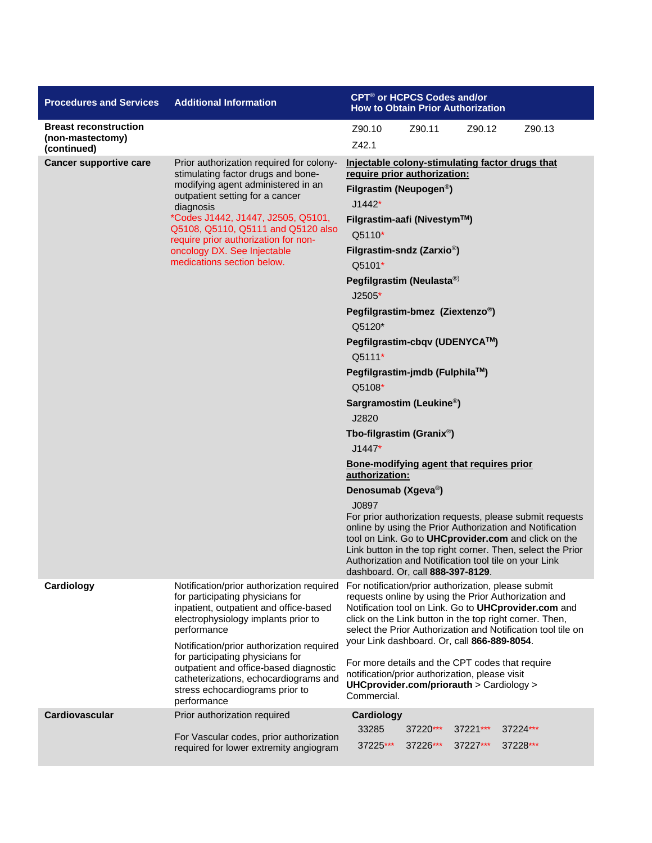| <b>Procedures and Services</b>                                  | <b>Additional Information</b>                                                                                                                                                                                                                                                                                                                                                                       | CPT <sup>®</sup> or HCPCS Codes and/or<br><b>How to Obtain Prior Authorization</b>                                                                                                                                                                                                                                                                                                                                                                                                                                                                                                                                                                                                                                                                                                                                                                                                                                      |  |  |  |  |  |
|-----------------------------------------------------------------|-----------------------------------------------------------------------------------------------------------------------------------------------------------------------------------------------------------------------------------------------------------------------------------------------------------------------------------------------------------------------------------------------------|-------------------------------------------------------------------------------------------------------------------------------------------------------------------------------------------------------------------------------------------------------------------------------------------------------------------------------------------------------------------------------------------------------------------------------------------------------------------------------------------------------------------------------------------------------------------------------------------------------------------------------------------------------------------------------------------------------------------------------------------------------------------------------------------------------------------------------------------------------------------------------------------------------------------------|--|--|--|--|--|
| <b>Breast reconstruction</b><br>(non-mastectomy)<br>(continued) |                                                                                                                                                                                                                                                                                                                                                                                                     | Z90.10<br>Z90.11<br>Z90.12<br>Z90.13<br>Z42.1                                                                                                                                                                                                                                                                                                                                                                                                                                                                                                                                                                                                                                                                                                                                                                                                                                                                           |  |  |  |  |  |
| <b>Cancer supportive care</b>                                   | Prior authorization required for colony-<br>stimulating factor drugs and bone-<br>modifying agent administered in an<br>outpatient setting for a cancer<br>diagnosis<br>*Codes J1442, J1447, J2505, Q5101,<br>Q5108, Q5110, Q5111 and Q5120 also<br>require prior authorization for non-<br>oncology DX. See Injectable<br>medications section below.                                               | Injectable colony-stimulating factor drugs that<br>require prior authorization:<br>Filgrastim (Neupogen <sup>®</sup> )<br>$J1442*$<br>Filgrastim-aafi (Nivestym™)<br>Q5110*<br>Filgrastim-sndz (Zarxio <sup>®</sup> )<br>Q5101*<br>Pegfilgrastim (Neulasta®)<br>$J2505*$<br>Pegfilgrastim-bmez (Ziextenzo®)<br>Q5120*<br>Pegfilgrastim-cbqv (UDENYCA™)<br>Q5111*<br>Pegfilgrastim-jmdb (Fulphila™)<br>Q5108*<br>Sargramostim (Leukine <sup>®</sup> )<br>J2820<br>Tbo-filgrastim (Granix <sup>®</sup> )<br>$J1447*$<br>Bone-modifying agent that requires prior<br>authorization:<br>Denosumab (Xgeva®)<br>J0897<br>For prior authorization requests, please submit requests<br>online by using the Prior Authorization and Notification<br>tool on Link. Go to UHCprovider.com and click on the<br>Link button in the top right corner. Then, select the Prior<br>Authorization and Notification tool tile on your Link |  |  |  |  |  |
| Cardiology                                                      | Notification/prior authorization required<br>for participating physicians for<br>inpatient, outpatient and office-based<br>electrophysiology implants prior to<br>performance<br>Notification/prior authorization required<br>for participating physicians for<br>outpatient and office-based diagnostic<br>catheterizations, echocardiograms and<br>stress echocardiograms prior to<br>performance | dashboard. Or, call 888-397-8129.<br>For notification/prior authorization, please submit<br>requests online by using the Prior Authorization and<br>Notification tool on Link. Go to UHCprovider.com and<br>click on the Link button in the top right corner. Then,<br>select the Prior Authorization and Notification tool tile on<br>your Link dashboard. Or, call 866-889-8054.<br>For more details and the CPT codes that require<br>notification/prior authorization, please visit<br>UHCprovider.com/priorauth > Cardiology ><br>Commercial.                                                                                                                                                                                                                                                                                                                                                                      |  |  |  |  |  |
| <b>Cardiovascular</b>                                           | Prior authorization required<br>For Vascular codes, prior authorization<br>required for lower extremity angiogram                                                                                                                                                                                                                                                                                   | Cardiology<br>33285<br>37220***<br>37221***<br>37224***<br>37225***<br>37226***<br>37227***<br>37228***                                                                                                                                                                                                                                                                                                                                                                                                                                                                                                                                                                                                                                                                                                                                                                                                                 |  |  |  |  |  |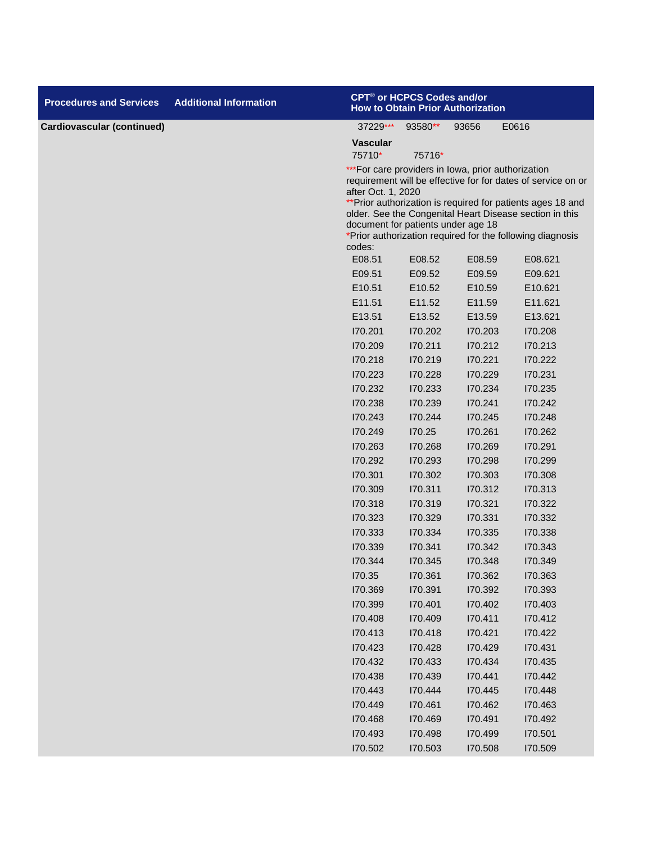| <b>Procedures and Services</b>    | <b>Additional Information</b> |                                                                                                                                                                                                                                                                                                                                                                                  | CPT® or HCPCS Codes and/or<br><b>How to Obtain Prior Authorization</b> |         |         |  |  |  |
|-----------------------------------|-------------------------------|----------------------------------------------------------------------------------------------------------------------------------------------------------------------------------------------------------------------------------------------------------------------------------------------------------------------------------------------------------------------------------|------------------------------------------------------------------------|---------|---------|--|--|--|
| <b>Cardiovascular (continued)</b> |                               | 37229***                                                                                                                                                                                                                                                                                                                                                                         | 93580**                                                                | 93656   | E0616   |  |  |  |
|                                   |                               | <b>Vascular</b><br>75710*                                                                                                                                                                                                                                                                                                                                                        | 75716*                                                                 |         |         |  |  |  |
|                                   |                               | *** For care providers in lowa, prior authorization<br>requirement will be effective for for dates of service on or<br>after Oct. 1, 2020<br>** Prior authorization is required for patients ages 18 and<br>older. See the Congenital Heart Disease section in this<br>document for patients under age 18<br>*Prior authorization required for the following diagnosis<br>codes: |                                                                        |         |         |  |  |  |
|                                   |                               | E08.51                                                                                                                                                                                                                                                                                                                                                                           | E08.52                                                                 | E08.59  | E08.621 |  |  |  |
|                                   |                               | E09.51                                                                                                                                                                                                                                                                                                                                                                           | E09.52                                                                 | E09.59  | E09.621 |  |  |  |
|                                   |                               | E10.51                                                                                                                                                                                                                                                                                                                                                                           | E10.52                                                                 | E10.59  | E10.621 |  |  |  |
|                                   |                               | E11.51                                                                                                                                                                                                                                                                                                                                                                           | E11.52                                                                 | E11.59  | E11.621 |  |  |  |
|                                   |                               | E13.51                                                                                                                                                                                                                                                                                                                                                                           | E13.52                                                                 | E13.59  | E13.621 |  |  |  |
|                                   |                               | 170.201                                                                                                                                                                                                                                                                                                                                                                          | 170.202                                                                | 170.203 | 170.208 |  |  |  |
|                                   |                               | 170.209                                                                                                                                                                                                                                                                                                                                                                          | 170.211                                                                | 170.212 | 170.213 |  |  |  |
|                                   |                               | 170.218                                                                                                                                                                                                                                                                                                                                                                          | 170.219                                                                | 170.221 | 170.222 |  |  |  |
|                                   |                               | 170.223                                                                                                                                                                                                                                                                                                                                                                          | 170.228                                                                | 170.229 | 170.231 |  |  |  |
|                                   |                               | 170.232                                                                                                                                                                                                                                                                                                                                                                          | 170.233                                                                | 170.234 | 170.235 |  |  |  |
|                                   |                               | 170.238                                                                                                                                                                                                                                                                                                                                                                          | 170.239                                                                | 170.241 | 170.242 |  |  |  |
|                                   |                               | 170.243                                                                                                                                                                                                                                                                                                                                                                          | 170.244                                                                | 170.245 | 170.248 |  |  |  |
|                                   |                               | 170.249                                                                                                                                                                                                                                                                                                                                                                          | 170.25                                                                 | 170.261 | 170.262 |  |  |  |
|                                   |                               | 170.263                                                                                                                                                                                                                                                                                                                                                                          | 170.268                                                                | 170.269 | 170.291 |  |  |  |
|                                   |                               | 170.292                                                                                                                                                                                                                                                                                                                                                                          | 170.293                                                                | 170.298 | 170.299 |  |  |  |
|                                   |                               | 170.301                                                                                                                                                                                                                                                                                                                                                                          | 170.302                                                                | 170.303 | 170.308 |  |  |  |
|                                   |                               | 170.309                                                                                                                                                                                                                                                                                                                                                                          | 170.311                                                                | 170.312 | 170.313 |  |  |  |
|                                   |                               | 170.318                                                                                                                                                                                                                                                                                                                                                                          | 170.319                                                                | 170.321 | 170.322 |  |  |  |
|                                   |                               | 170.323                                                                                                                                                                                                                                                                                                                                                                          | 170.329                                                                | 170.331 | 170.332 |  |  |  |
|                                   |                               | 170.333                                                                                                                                                                                                                                                                                                                                                                          | 170.334                                                                | 170.335 | 170.338 |  |  |  |
|                                   |                               | 170.339                                                                                                                                                                                                                                                                                                                                                                          | 170.341                                                                | 170.342 | 170.343 |  |  |  |
|                                   |                               | 170.344                                                                                                                                                                                                                                                                                                                                                                          | 170.345                                                                | 170.348 | 170.349 |  |  |  |
|                                   |                               | 170.35                                                                                                                                                                                                                                                                                                                                                                           | 170.361                                                                | 170.362 | 170.363 |  |  |  |
|                                   |                               | 170.369                                                                                                                                                                                                                                                                                                                                                                          | 170.391                                                                | 170.392 | 170.393 |  |  |  |
|                                   |                               | 170.399                                                                                                                                                                                                                                                                                                                                                                          | 170.401                                                                | 170.402 | 170.403 |  |  |  |
|                                   |                               | 170.408                                                                                                                                                                                                                                                                                                                                                                          | 170.409                                                                | 170.411 | 170.412 |  |  |  |
|                                   |                               | 170.413                                                                                                                                                                                                                                                                                                                                                                          | 170.418                                                                | 170.421 | 170.422 |  |  |  |
|                                   |                               | 170.423                                                                                                                                                                                                                                                                                                                                                                          | 170.428                                                                | 170.429 | 170.431 |  |  |  |
|                                   |                               | 170.432                                                                                                                                                                                                                                                                                                                                                                          | 170.433                                                                | 170.434 | 170.435 |  |  |  |
|                                   |                               | 170.438                                                                                                                                                                                                                                                                                                                                                                          | 170.439                                                                | 170.441 | 170.442 |  |  |  |
|                                   |                               | 170.443                                                                                                                                                                                                                                                                                                                                                                          | 170.444                                                                | 170.445 | 170.448 |  |  |  |
|                                   |                               | 170.449                                                                                                                                                                                                                                                                                                                                                                          | 170.461                                                                | 170.462 | 170.463 |  |  |  |
|                                   |                               | 170.468                                                                                                                                                                                                                                                                                                                                                                          | 170.469                                                                | 170.491 | 170.492 |  |  |  |
|                                   |                               | 170.493                                                                                                                                                                                                                                                                                                                                                                          | 170.498                                                                | 170.499 | 170.501 |  |  |  |
|                                   |                               | 170.502                                                                                                                                                                                                                                                                                                                                                                          | 170.503                                                                | 170.508 | 170.509 |  |  |  |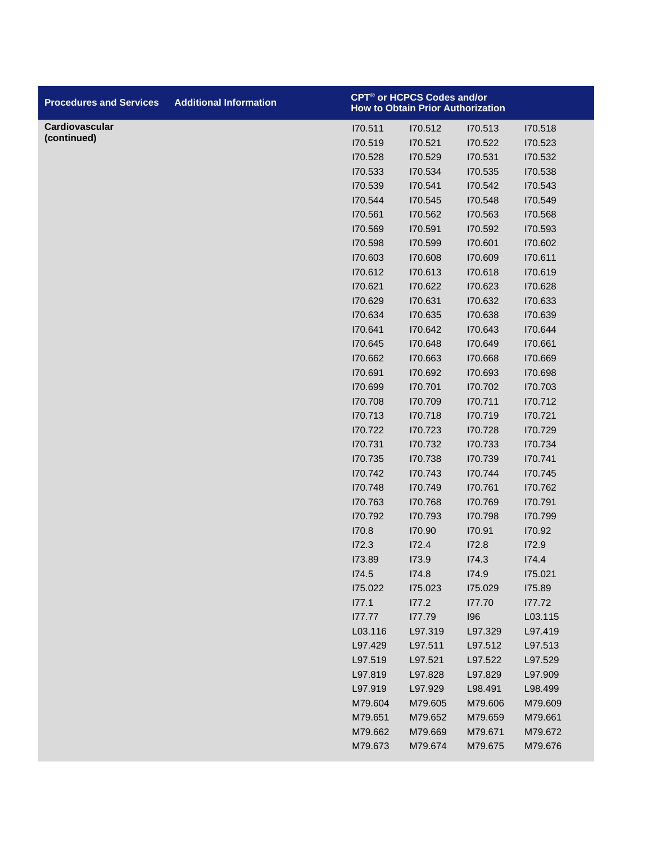| <b>Procedures and Services</b> | <b>Additional Information</b> |         | CPT® or HCPCS Codes and/or<br><b>How to Obtain Prior Authorization</b> |         |                |
|--------------------------------|-------------------------------|---------|------------------------------------------------------------------------|---------|----------------|
| Cardiovascular                 |                               | 170.511 | 170.512                                                                | 170.513 | 170.518        |
| (continued)                    |                               | 170.519 | 170.521                                                                | 170.522 | 170.523        |
|                                |                               | 170.528 | 170.529                                                                | 170.531 | 170.532        |
|                                |                               | 170.533 | 170.534                                                                | 170.535 | 170.538        |
|                                |                               | 170.539 | 170.541                                                                | 170.542 | 170.543        |
|                                |                               | 170.544 | 170.545                                                                | 170.548 | 170.549        |
|                                |                               | 170.561 | 170.562                                                                | 170.563 | <b>170.568</b> |
|                                |                               | 170.569 | 170.591                                                                | 170.592 | 170.593        |
|                                |                               | 170.598 | I70.599                                                                | 170.601 | 170.602        |
|                                |                               | 170.603 | 170.608                                                                | 170.609 | 170.611        |
|                                |                               | 170.612 | 170.613                                                                | 170.618 | 170.619        |
|                                |                               | 170.621 | 170.622                                                                | 170.623 | 170.628        |
|                                |                               | 170.629 | 170.631                                                                | 170.632 | 170.633        |
|                                |                               | 170.634 | 170.635                                                                | 170.638 | 170.639        |
|                                |                               | 170.641 | 170.642                                                                | 170.643 | 170.644        |
|                                |                               | 170.645 | 170.648                                                                | 170.649 | 170.661        |
|                                |                               | 170.662 | 170.663                                                                | 170.668 | 170.669        |
|                                |                               | 170.691 | 170.692                                                                | 170.693 | 170.698        |
|                                |                               | 170.699 | 170.701                                                                | 170.702 | 170.703        |
|                                |                               | 170.708 | 170.709                                                                | 170.711 | 170.712        |
|                                |                               | 170.713 | 170.718                                                                | 170.719 | 170.721        |
|                                |                               | 170.722 | 170.723                                                                | 170.728 | 170.729        |
|                                |                               | 170.731 | 170.732                                                                | 170.733 | 170.734        |
|                                |                               | 170.735 | 170.738                                                                | 170.739 | 170.741        |
|                                |                               | 170.742 | 170.743                                                                | 170.744 | 170.745        |
|                                |                               | 170.748 | 170.749                                                                | 170.761 | 170.762        |
|                                |                               | 170.763 | 170.768                                                                | 170.769 | 170.791        |
|                                |                               | 170.792 | 170.793                                                                | 170.798 | 170.799        |
|                                |                               | 170.8   | 170.90                                                                 | 170.91  | 170.92         |
|                                |                               | 172.3   | 172.4                                                                  | 172.8   | 172.9          |
|                                |                               | 173.89  | 173.9                                                                  | I74.3   | 174.4          |
|                                |                               | I74.5   | 174.8                                                                  | 174.9   | 175.021        |
|                                |                               | 175.022 | 175.023                                                                | 175.029 | 175.89         |
|                                |                               | 177.1   | 177.2                                                                  | 177.70  | 177.72         |
|                                |                               | 177.77  | 177.79                                                                 | 196     | L03.115        |
|                                |                               | L03.116 | L97.319                                                                | L97.329 | L97.419        |
|                                |                               | L97.429 | L97.511                                                                | L97.512 | L97.513        |
|                                |                               | L97.519 | L97.521                                                                | L97.522 | L97.529        |
|                                |                               | L97.819 | L97.828                                                                | L97.829 | L97.909        |
|                                |                               | L97.919 | L97.929                                                                | L98.491 | L98.499        |
|                                |                               | M79.604 | M79.605                                                                | M79.606 | M79.609        |
|                                |                               | M79.651 | M79.652                                                                | M79.659 | M79.661        |
|                                |                               | M79.662 | M79.669                                                                | M79.671 | M79.672        |
|                                |                               | M79.673 | M79.674                                                                | M79.675 | M79.676        |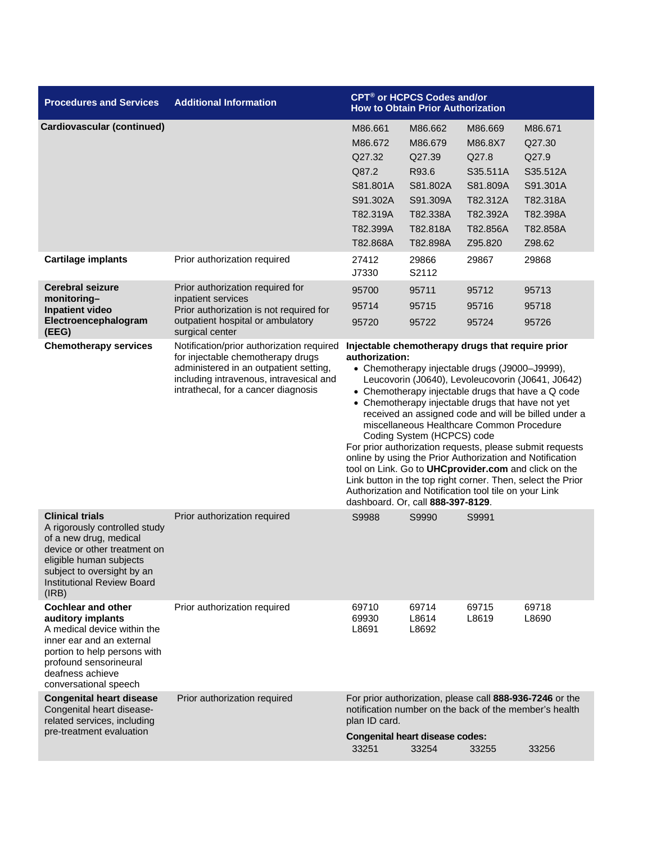| <b>Procedures and Services</b>                                                                                                                                                                                           | <b>Additional Information</b>                                                                                                                                                                              |                                                                                                                                                                                                                                                                                                                                                                                                                                                                                                                                                                                                                                                                                                                                 | CPT <sup>®</sup> or HCPCS Codes and/or<br><b>How to Obtain Prior Authorization</b>                |                                                                                                    |                                                                                                                    |
|--------------------------------------------------------------------------------------------------------------------------------------------------------------------------------------------------------------------------|------------------------------------------------------------------------------------------------------------------------------------------------------------------------------------------------------------|---------------------------------------------------------------------------------------------------------------------------------------------------------------------------------------------------------------------------------------------------------------------------------------------------------------------------------------------------------------------------------------------------------------------------------------------------------------------------------------------------------------------------------------------------------------------------------------------------------------------------------------------------------------------------------------------------------------------------------|---------------------------------------------------------------------------------------------------|----------------------------------------------------------------------------------------------------|--------------------------------------------------------------------------------------------------------------------|
| <b>Cardiovascular (continued)</b>                                                                                                                                                                                        |                                                                                                                                                                                                            | M86.661<br>M86.672<br>Q27.32<br>Q87.2<br>S81.801A<br>S91.302A<br>T82.319A<br>T82.399A<br>T82.868A                                                                                                                                                                                                                                                                                                                                                                                                                                                                                                                                                                                                                               | M86.662<br>M86.679<br>Q27.39<br>R93.6<br>S81.802A<br>S91.309A<br>T82.338A<br>T82.818A<br>T82.898A | M86.669<br>M86.8X7<br>Q27.8<br>S35.511A<br>S81.809A<br>T82.312A<br>T82.392A<br>T82.856A<br>Z95.820 | M86.671<br>Q27.30<br>Q27.9<br>S35.512A<br>S91.301A<br>T82.318A<br>T82.398A<br>T82.858A<br>Z98.62                   |
| <b>Cartilage implants</b>                                                                                                                                                                                                | Prior authorization required                                                                                                                                                                               | 27412<br>J7330                                                                                                                                                                                                                                                                                                                                                                                                                                                                                                                                                                                                                                                                                                                  | 29866<br>S2112                                                                                    | 29867                                                                                              | 29868                                                                                                              |
| <b>Cerebral seizure</b><br>monitoring-<br><b>Inpatient video</b><br>Electroencephalogram<br>(EEG)                                                                                                                        | Prior authorization required for<br>inpatient services<br>Prior authorization is not required for<br>outpatient hospital or ambulatory<br>surgical center                                                  | 95700<br>95714<br>95720                                                                                                                                                                                                                                                                                                                                                                                                                                                                                                                                                                                                                                                                                                         | 95711<br>95715<br>95722                                                                           | 95712<br>95716<br>95724                                                                            | 95713<br>95718<br>95726                                                                                            |
| <b>Chemotherapy services</b>                                                                                                                                                                                             | Notification/prior authorization required<br>for injectable chemotherapy drugs<br>administered in an outpatient setting,<br>including intravenous, intravesical and<br>intrathecal, for a cancer diagnosis | Injectable chemotherapy drugs that require prior<br>authorization:<br>• Chemotherapy injectable drugs (J9000-J9999),<br>Leucovorin (J0640), Levoleucovorin (J0641, J0642)<br>• Chemotherapy injectable drugs that have a Q code<br>• Chemotherapy injectable drugs that have not yet<br>received an assigned code and will be billed under a<br>miscellaneous Healthcare Common Procedure<br>Coding System (HCPCS) code<br>For prior authorization requests, please submit requests<br>online by using the Prior Authorization and Notification<br>tool on Link. Go to UHCprovider.com and click on the<br>Link button in the top right corner. Then, select the Prior<br>Authorization and Notification tool tile on your Link |                                                                                                   |                                                                                                    |                                                                                                                    |
| <b>Clinical trials</b><br>A rigorously controlled study<br>of a new drug, medical<br>device or other treatment on<br>eligible human subjects<br>subject to oversight by an<br><b>Institutional Review Board</b><br>(IRB) | Prior authorization required                                                                                                                                                                               | S9988                                                                                                                                                                                                                                                                                                                                                                                                                                                                                                                                                                                                                                                                                                                           | S9990                                                                                             | S9991                                                                                              |                                                                                                                    |
| <b>Cochlear and other</b><br>auditory implants<br>A medical device within the<br>inner ear and an external<br>portion to help persons with<br>profound sensorineural<br>deafness achieve<br>conversational speech        | Prior authorization required                                                                                                                                                                               | 69710<br>69930<br>L8691                                                                                                                                                                                                                                                                                                                                                                                                                                                                                                                                                                                                                                                                                                         | 69714<br>L8614<br>L8692                                                                           | 69715<br>L8619                                                                                     | 69718<br>L8690                                                                                                     |
| <b>Congenital heart disease</b><br>Congenital heart disease-<br>related services, including<br>pre-treatment evaluation                                                                                                  | Prior authorization required                                                                                                                                                                               | plan ID card.                                                                                                                                                                                                                                                                                                                                                                                                                                                                                                                                                                                                                                                                                                                   |                                                                                                   |                                                                                                    | For prior authorization, please call 888-936-7246 or the<br>notification number on the back of the member's health |
|                                                                                                                                                                                                                          |                                                                                                                                                                                                            | <b>Congenital heart disease codes:</b><br>33251                                                                                                                                                                                                                                                                                                                                                                                                                                                                                                                                                                                                                                                                                 | 33254                                                                                             | 33255                                                                                              | 33256                                                                                                              |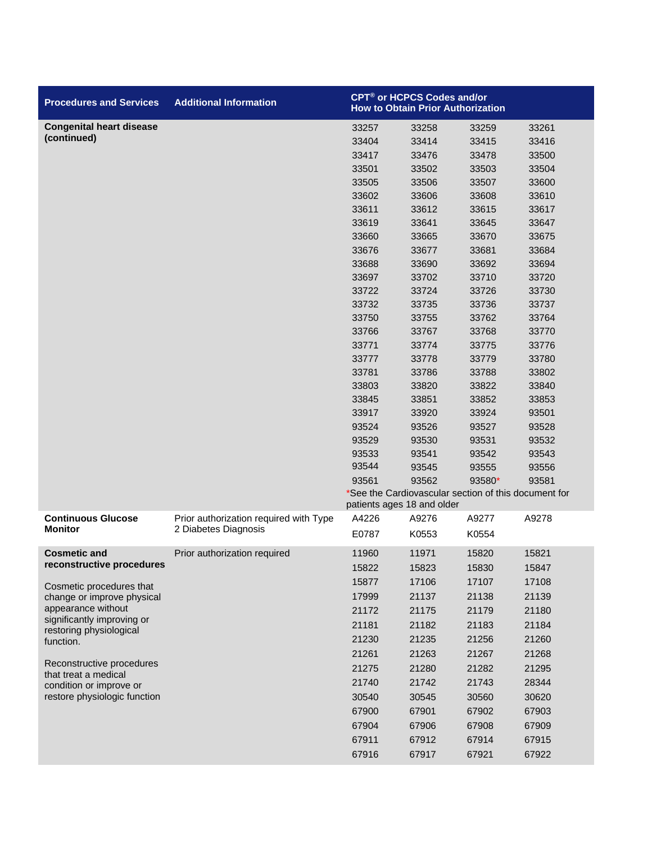| <b>Procedures and Services</b>                          | <b>Additional Information</b>          |       | <b>CPT<sup>®</sup> or HCPCS Codes and/or</b><br><b>How to Obtain Prior Authorization</b> |                                                      |       |
|---------------------------------------------------------|----------------------------------------|-------|------------------------------------------------------------------------------------------|------------------------------------------------------|-------|
| <b>Congenital heart disease</b>                         |                                        | 33257 | 33258                                                                                    | 33259                                                | 33261 |
| (continued)                                             |                                        | 33404 | 33414                                                                                    | 33415                                                | 33416 |
|                                                         |                                        | 33417 | 33476                                                                                    | 33478                                                | 33500 |
|                                                         |                                        | 33501 | 33502                                                                                    | 33503                                                | 33504 |
|                                                         |                                        | 33505 | 33506                                                                                    | 33507                                                | 33600 |
|                                                         |                                        | 33602 | 33606                                                                                    | 33608                                                | 33610 |
|                                                         |                                        | 33611 | 33612                                                                                    | 33615                                                | 33617 |
|                                                         |                                        | 33619 | 33641                                                                                    | 33645                                                | 33647 |
|                                                         |                                        | 33660 | 33665                                                                                    | 33670                                                | 33675 |
|                                                         |                                        | 33676 | 33677                                                                                    | 33681                                                | 33684 |
|                                                         |                                        | 33688 | 33690                                                                                    | 33692                                                | 33694 |
|                                                         |                                        | 33697 | 33702                                                                                    | 33710                                                | 33720 |
|                                                         |                                        | 33722 | 33724                                                                                    | 33726                                                | 33730 |
|                                                         |                                        | 33732 | 33735                                                                                    | 33736                                                | 33737 |
|                                                         |                                        | 33750 | 33755                                                                                    | 33762                                                | 33764 |
|                                                         |                                        | 33766 | 33767                                                                                    | 33768                                                | 33770 |
|                                                         |                                        | 33771 | 33774                                                                                    | 33775                                                | 33776 |
|                                                         |                                        | 33777 | 33778                                                                                    | 33779                                                | 33780 |
|                                                         |                                        | 33781 | 33786                                                                                    | 33788                                                | 33802 |
|                                                         |                                        | 33803 | 33820                                                                                    | 33822                                                | 33840 |
|                                                         |                                        | 33845 | 33851                                                                                    | 33852                                                | 33853 |
|                                                         |                                        | 33917 | 33920                                                                                    | 33924                                                | 93501 |
|                                                         |                                        | 93524 | 93526                                                                                    | 93527                                                | 93528 |
|                                                         |                                        | 93529 | 93530                                                                                    | 93531                                                | 93532 |
|                                                         |                                        | 93533 | 93541                                                                                    | 93542                                                | 93543 |
|                                                         |                                        | 93544 | 93545                                                                                    | 93555                                                | 93556 |
|                                                         |                                        | 93561 | 93562                                                                                    | 93580*                                               | 93581 |
|                                                         |                                        |       | patients ages 18 and older                                                               | *See the Cardiovascular section of this document for |       |
| <b>Continuous Glucose</b>                               | Prior authorization required with Type | A4226 | A9276                                                                                    | A9277                                                | A9278 |
| <b>Monitor</b>                                          | 2 Diabetes Diagnosis                   | E0787 | K0553                                                                                    | K0554                                                |       |
| <b>Cosmetic and</b>                                     | Prior authorization required           | 11960 | 11971                                                                                    | 15820                                                | 15821 |
| reconstructive procedures                               |                                        | 15822 | 15823                                                                                    | 15830                                                | 15847 |
| Cosmetic procedures that                                |                                        | 15877 | 17106                                                                                    | 17107                                                | 17108 |
| change or improve physical                              |                                        | 17999 | 21137                                                                                    | 21138                                                | 21139 |
| appearance without                                      |                                        | 21172 | 21175                                                                                    | 21179                                                | 21180 |
| significantly improving or<br>restoring physiological   |                                        | 21181 | 21182                                                                                    | 21183                                                | 21184 |
| function.                                               |                                        | 21230 | 21235                                                                                    | 21256                                                | 21260 |
|                                                         |                                        | 21261 | 21263                                                                                    | 21267                                                | 21268 |
| Reconstructive procedures                               |                                        | 21275 | 21280                                                                                    | 21282                                                | 21295 |
| that treat a medical                                    |                                        | 21740 | 21742                                                                                    | 21743                                                | 28344 |
| condition or improve or<br>restore physiologic function |                                        | 30540 | 30545                                                                                    | 30560                                                | 30620 |
|                                                         |                                        | 67900 | 67901                                                                                    | 67902                                                | 67903 |
|                                                         |                                        | 67904 | 67906                                                                                    | 67908                                                | 67909 |
|                                                         |                                        |       |                                                                                          |                                                      |       |
|                                                         |                                        | 67911 | 67912                                                                                    | 67914                                                | 67915 |
|                                                         |                                        | 67916 | 67917                                                                                    | 67921                                                | 67922 |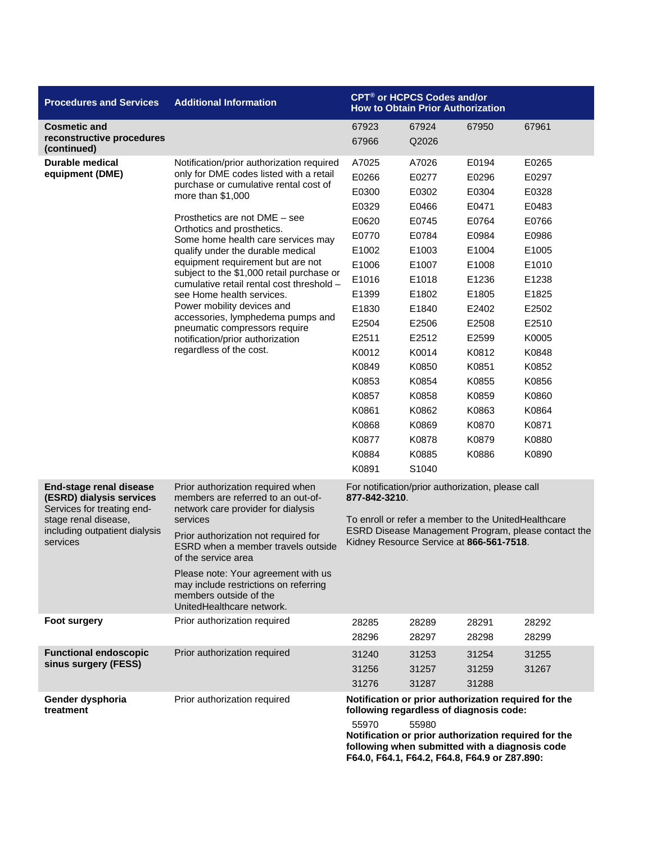| <b>Procedures and Services</b>                                                                                                                                | <b>Additional Information</b>                                                                                                                                                                                                                                                                                                                                                                                                                                                                                                                                                                                               |                                                                                                                                                                                                                              | CPT <sup>®</sup> or HCPCS Codes and/or<br><b>How to Obtain Prior Authorization</b>                                                                                                                 |                                                                                                                                                                                           |                                                                                                                                                                                           |  |
|---------------------------------------------------------------------------------------------------------------------------------------------------------------|-----------------------------------------------------------------------------------------------------------------------------------------------------------------------------------------------------------------------------------------------------------------------------------------------------------------------------------------------------------------------------------------------------------------------------------------------------------------------------------------------------------------------------------------------------------------------------------------------------------------------------|------------------------------------------------------------------------------------------------------------------------------------------------------------------------------------------------------------------------------|----------------------------------------------------------------------------------------------------------------------------------------------------------------------------------------------------|-------------------------------------------------------------------------------------------------------------------------------------------------------------------------------------------|-------------------------------------------------------------------------------------------------------------------------------------------------------------------------------------------|--|
| <b>Cosmetic and</b><br>reconstructive procedures<br>(continued)                                                                                               |                                                                                                                                                                                                                                                                                                                                                                                                                                                                                                                                                                                                                             | 67923<br>67966                                                                                                                                                                                                               | 67924<br>Q2026                                                                                                                                                                                     | 67950                                                                                                                                                                                     | 67961                                                                                                                                                                                     |  |
| <b>Durable medical</b><br>equipment (DME)                                                                                                                     | Notification/prior authorization required<br>only for DME codes listed with a retail<br>purchase or cumulative rental cost of<br>more than \$1,000<br>Prosthetics are not DME - see<br>Orthotics and prosthetics.<br>Some home health care services may<br>qualify under the durable medical<br>equipment requirement but are not<br>subject to the \$1,000 retail purchase or<br>cumulative retail rental cost threshold -<br>see Home health services.<br>Power mobility devices and<br>accessories, lymphedema pumps and<br>pneumatic compressors require<br>notification/prior authorization<br>regardless of the cost. | A7025<br>E0266<br>E0300<br>E0329<br>E0620<br>E0770<br>E1002<br>E1006<br>E1016<br>E1399<br>E1830<br>E2504<br>E2511<br>K0012<br>K0849<br>K0853<br>K0857<br>K0861<br>K0868<br>K0877<br>K0884<br>K0891                           | A7026<br>E0277<br>E0302<br>E0466<br>E0745<br>E0784<br>E1003<br>E1007<br>E1018<br>E1802<br>E1840<br>E2506<br>E2512<br>K0014<br>K0850<br>K0854<br>K0858<br>K0862<br>K0869<br>K0878<br>K0885<br>S1040 | E0194<br>E0296<br>E0304<br>E0471<br>E0764<br>E0984<br>E1004<br>E1008<br>E1236<br>E1805<br>E2402<br>E2508<br>E2599<br>K0812<br>K0851<br>K0855<br>K0859<br>K0863<br>K0870<br>K0879<br>K0886 | E0265<br>E0297<br>E0328<br>E0483<br>E0766<br>E0986<br>E1005<br>E1010<br>E1238<br>E1825<br>E2502<br>E2510<br>K0005<br>K0848<br>K0852<br>K0856<br>K0860<br>K0864<br>K0871<br>K0880<br>K0890 |  |
| <b>End-stage renal disease</b><br>(ESRD) dialysis services<br>Services for treating end-<br>stage renal disease,<br>including outpatient dialysis<br>services | Prior authorization required when<br>members are referred to an out-of-<br>network care provider for dialysis<br>services<br>Prior authorization not required for<br>ESRD when a member travels outside<br>of the service area<br>Please note: Your agreement with us<br>may include restrictions on referring<br>members outside of the<br>UnitedHealthcare network.                                                                                                                                                                                                                                                       | For notification/prior authorization, please call<br>877-842-3210.<br>To enroll or refer a member to the UnitedHealthcare<br>ESRD Disease Management Program, please contact the<br>Kidney Resource Service at 866-561-7518. |                                                                                                                                                                                                    |                                                                                                                                                                                           |                                                                                                                                                                                           |  |
| <b>Foot surgery</b>                                                                                                                                           | Prior authorization required                                                                                                                                                                                                                                                                                                                                                                                                                                                                                                                                                                                                | 28285<br>28296                                                                                                                                                                                                               | 28289<br>28297                                                                                                                                                                                     | 28291<br>28298                                                                                                                                                                            | 28292<br>28299                                                                                                                                                                            |  |
| <b>Functional endoscopic</b><br>sinus surgery (FESS)                                                                                                          | Prior authorization required                                                                                                                                                                                                                                                                                                                                                                                                                                                                                                                                                                                                | 31240<br>31256<br>31276                                                                                                                                                                                                      | 31253<br>31257<br>31287                                                                                                                                                                            | 31254<br>31259<br>31288                                                                                                                                                                   | 31255<br>31267                                                                                                                                                                            |  |
| Gender dysphoria<br>treatment                                                                                                                                 | Prior authorization required                                                                                                                                                                                                                                                                                                                                                                                                                                                                                                                                                                                                | Notification or prior authorization required for the<br>following regardless of diagnosis code:<br>55970<br>55980<br>Notification or prior authorization required for the<br>following when submitted with a diagnosis code  |                                                                                                                                                                                                    |                                                                                                                                                                                           |                                                                                                                                                                                           |  |

**F64.0, F64.1, F64.2, F64.8, F64.9 or Z87.890:**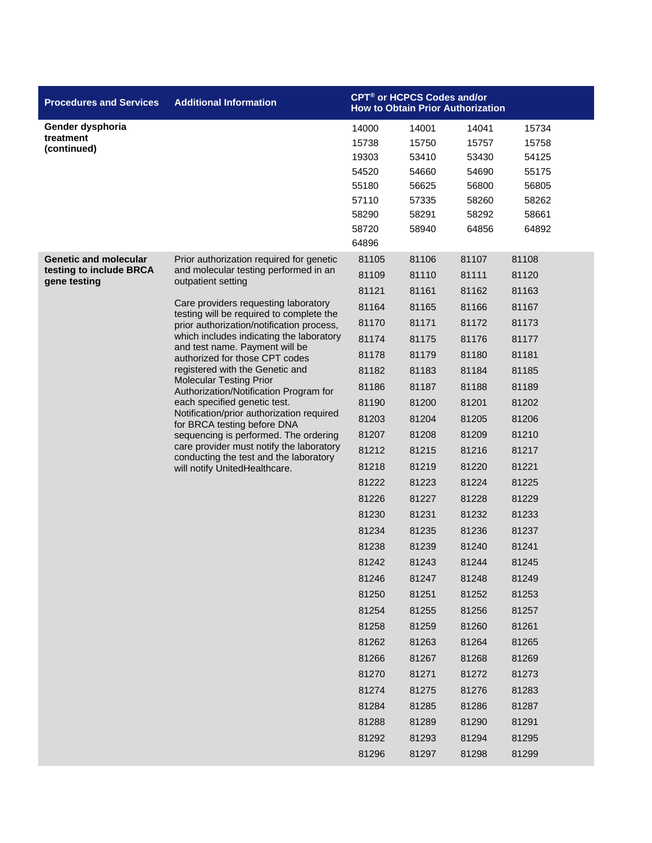| <b>Procedures and Services</b>                          | <b>Additional Information</b>                                                                                                                                                                                                                                    |       | CPT <sup>®</sup> or HCPCS Codes and/or | <b>How to Obtain Prior Authorization</b> |       |
|---------------------------------------------------------|------------------------------------------------------------------------------------------------------------------------------------------------------------------------------------------------------------------------------------------------------------------|-------|----------------------------------------|------------------------------------------|-------|
| Gender dysphoria                                        |                                                                                                                                                                                                                                                                  | 14000 | 14001                                  | 14041                                    | 15734 |
| treatment<br>(continued)                                |                                                                                                                                                                                                                                                                  | 15738 | 15750                                  | 15757                                    | 15758 |
|                                                         |                                                                                                                                                                                                                                                                  | 19303 | 53410                                  | 53430                                    | 54125 |
|                                                         |                                                                                                                                                                                                                                                                  | 54520 | 54660                                  | 54690                                    | 55175 |
|                                                         |                                                                                                                                                                                                                                                                  | 55180 | 56625                                  | 56800                                    | 56805 |
|                                                         |                                                                                                                                                                                                                                                                  | 57110 | 57335                                  | 58260                                    | 58262 |
|                                                         |                                                                                                                                                                                                                                                                  | 58290 | 58291                                  | 58292                                    | 58661 |
|                                                         |                                                                                                                                                                                                                                                                  | 58720 | 58940                                  | 64856                                    | 64892 |
|                                                         |                                                                                                                                                                                                                                                                  | 64896 |                                        |                                          |       |
| <b>Genetic and molecular</b><br>testing to include BRCA | Prior authorization required for genetic<br>and molecular testing performed in an                                                                                                                                                                                | 81105 | 81106                                  | 81107                                    | 81108 |
| gene testing                                            | outpatient setting                                                                                                                                                                                                                                               | 81109 | 81110                                  | 81111                                    | 81120 |
|                                                         | Care providers requesting laboratory                                                                                                                                                                                                                             | 81121 | 81161                                  | 81162                                    | 81163 |
|                                                         | testing will be required to complete the                                                                                                                                                                                                                         | 81164 | 81165                                  | 81166                                    | 81167 |
|                                                         | prior authorization/notification process,                                                                                                                                                                                                                        | 81170 | 81171                                  | 81172                                    | 81173 |
|                                                         | which includes indicating the laboratory<br>and test name. Payment will be                                                                                                                                                                                       | 81174 | 81175                                  | 81176                                    | 81177 |
|                                                         | authorized for those CPT codes                                                                                                                                                                                                                                   | 81178 | 81179                                  | 81180                                    | 81181 |
|                                                         | registered with the Genetic and<br><b>Molecular Testing Prior</b><br>Authorization/Notification Program for<br>each specified genetic test.<br>Notification/prior authorization required<br>for BRCA testing before DNA<br>sequencing is performed. The ordering | 81182 | 81183                                  | 81184                                    | 81185 |
|                                                         |                                                                                                                                                                                                                                                                  | 81186 | 81187                                  | 81188                                    | 81189 |
|                                                         |                                                                                                                                                                                                                                                                  | 81190 | 81200                                  | 81201                                    | 81202 |
|                                                         |                                                                                                                                                                                                                                                                  | 81203 | 81204                                  | 81205                                    | 81206 |
|                                                         |                                                                                                                                                                                                                                                                  | 81207 | 81208                                  | 81209                                    | 81210 |
|                                                         | care provider must notify the laboratory<br>conducting the test and the laboratory                                                                                                                                                                               | 81212 | 81215                                  | 81216                                    | 81217 |
|                                                         | will notify UnitedHealthcare.                                                                                                                                                                                                                                    | 81218 | 81219                                  | 81220                                    | 81221 |
|                                                         |                                                                                                                                                                                                                                                                  | 81222 | 81223                                  | 81224                                    | 81225 |
|                                                         |                                                                                                                                                                                                                                                                  | 81226 | 81227                                  | 81228                                    | 81229 |
|                                                         |                                                                                                                                                                                                                                                                  | 81230 | 81231                                  | 81232                                    | 81233 |
|                                                         |                                                                                                                                                                                                                                                                  | 81234 | 81235                                  | 81236                                    | 81237 |
|                                                         |                                                                                                                                                                                                                                                                  | 81238 | 81239                                  | 81240                                    | 81241 |
|                                                         |                                                                                                                                                                                                                                                                  | 81242 | 81243                                  | 81244                                    | 81245 |
|                                                         |                                                                                                                                                                                                                                                                  | 81246 | 81247                                  | 81248                                    | 81249 |
|                                                         |                                                                                                                                                                                                                                                                  | 81250 | 81251                                  | 81252                                    | 81253 |
|                                                         |                                                                                                                                                                                                                                                                  | 81254 | 81255                                  | 81256                                    | 81257 |
|                                                         |                                                                                                                                                                                                                                                                  | 81258 | 81259                                  | 81260                                    | 81261 |
|                                                         |                                                                                                                                                                                                                                                                  | 81262 | 81263                                  | 81264                                    | 81265 |
|                                                         |                                                                                                                                                                                                                                                                  | 81266 | 81267                                  | 81268                                    | 81269 |
|                                                         |                                                                                                                                                                                                                                                                  | 81270 | 81271                                  | 81272                                    | 81273 |
|                                                         |                                                                                                                                                                                                                                                                  | 81274 | 81275                                  | 81276                                    | 81283 |
|                                                         |                                                                                                                                                                                                                                                                  | 81284 | 81285                                  | 81286                                    | 81287 |
|                                                         |                                                                                                                                                                                                                                                                  | 81288 | 81289                                  | 81290                                    | 81291 |
|                                                         |                                                                                                                                                                                                                                                                  | 81292 | 81293                                  | 81294                                    | 81295 |
|                                                         |                                                                                                                                                                                                                                                                  | 81296 | 81297                                  | 81298                                    | 81299 |
|                                                         |                                                                                                                                                                                                                                                                  |       |                                        |                                          |       |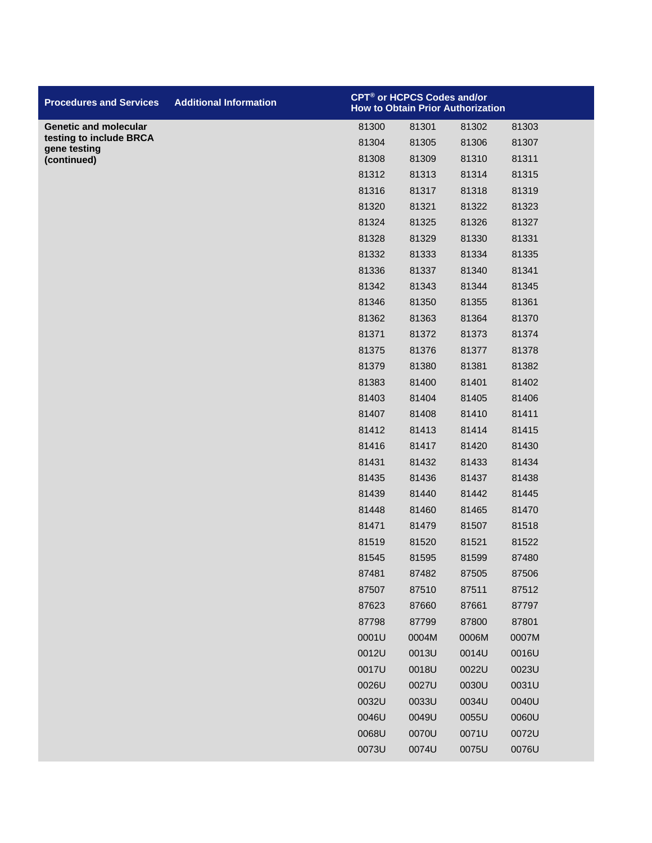| <b>Procedures and Services</b>          | <b>Additional Information</b> | CPT <sup>®</sup> or HCPCS Codes and/or |       | <b>How to Obtain Prior Authorization</b> |       |
|-----------------------------------------|-------------------------------|----------------------------------------|-------|------------------------------------------|-------|
| <b>Genetic and molecular</b>            |                               | 81300                                  | 81301 | 81302                                    | 81303 |
| testing to include BRCA<br>gene testing |                               | 81304                                  | 81305 | 81306                                    | 81307 |
| (continued)                             |                               | 81308                                  | 81309 | 81310                                    | 81311 |
|                                         |                               | 81312                                  | 81313 | 81314                                    | 81315 |
|                                         |                               | 81316                                  | 81317 | 81318                                    | 81319 |
|                                         |                               | 81320                                  | 81321 | 81322                                    | 81323 |
|                                         |                               | 81324                                  | 81325 | 81326                                    | 81327 |
|                                         |                               | 81328                                  | 81329 | 81330                                    | 81331 |
|                                         |                               | 81332                                  | 81333 | 81334                                    | 81335 |
|                                         |                               | 81336                                  | 81337 | 81340                                    | 81341 |
|                                         |                               | 81342                                  | 81343 | 81344                                    | 81345 |
|                                         |                               | 81346                                  | 81350 | 81355                                    | 81361 |
|                                         |                               | 81362                                  | 81363 | 81364                                    | 81370 |
|                                         |                               | 81371                                  | 81372 | 81373                                    | 81374 |
|                                         |                               | 81375                                  | 81376 | 81377                                    | 81378 |
|                                         |                               | 81379                                  | 81380 | 81381                                    | 81382 |
|                                         |                               | 81383                                  | 81400 | 81401                                    | 81402 |
|                                         |                               | 81403                                  | 81404 | 81405                                    | 81406 |
|                                         |                               | 81407                                  | 81408 | 81410                                    | 81411 |
|                                         |                               | 81412                                  | 81413 | 81414                                    | 81415 |
|                                         |                               | 81416                                  | 81417 | 81420                                    | 81430 |
|                                         |                               | 81431                                  | 81432 | 81433                                    | 81434 |
|                                         |                               | 81435                                  | 81436 | 81437                                    | 81438 |
|                                         |                               | 81439                                  | 81440 | 81442                                    | 81445 |
|                                         |                               | 81448                                  | 81460 | 81465                                    | 81470 |
|                                         |                               | 81471                                  | 81479 | 81507                                    | 81518 |
|                                         |                               | 81519                                  | 81520 | 81521                                    | 81522 |
|                                         |                               | 81545                                  | 81595 | 81599                                    | 87480 |
|                                         |                               | 87481                                  | 87482 | 87505                                    | 87506 |
|                                         |                               | 87507                                  | 87510 | 87511                                    | 87512 |
|                                         |                               | 87623                                  | 87660 | 87661                                    | 87797 |
|                                         |                               | 87798                                  | 87799 | 87800                                    | 87801 |
|                                         |                               | 0001U                                  | 0004M | 0006M                                    | 0007M |
|                                         |                               | 0012U                                  | 0013U | 0014U                                    | 0016U |
|                                         |                               | 0017U                                  | 0018U | 0022U                                    | 0023U |
|                                         |                               | 0026U                                  | 0027U | 0030U                                    | 0031U |
|                                         |                               | 0032U                                  | 0033U | 0034U                                    | 0040U |
|                                         |                               | 0046U                                  | 0049U | 0055U                                    | 0060U |
|                                         |                               | 0068U                                  | 0070U | 0071U                                    | 0072U |
|                                         |                               | 0073U                                  | 0074U | 0075U                                    | 0076U |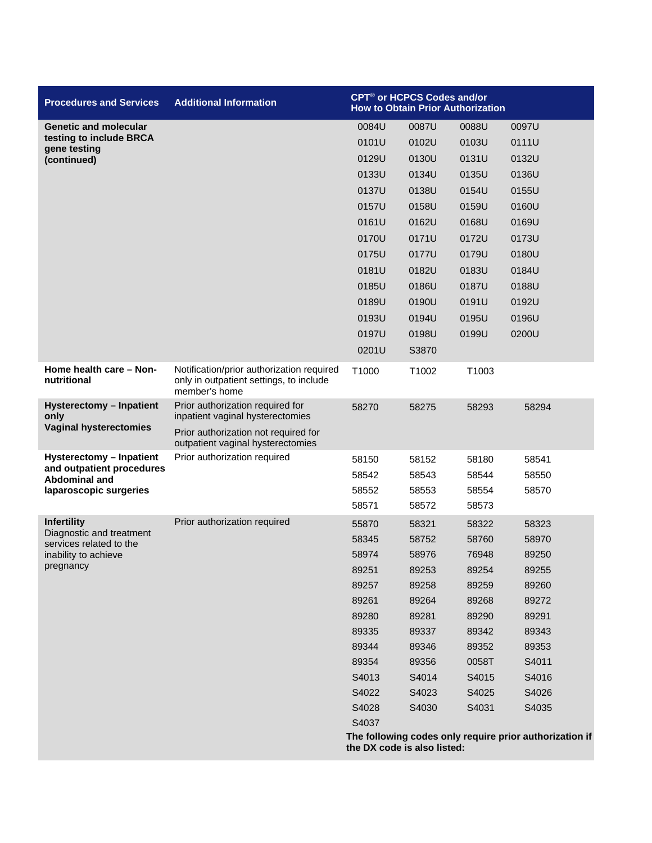| <b>Procedures and Services</b>                         | <b>Additional Information</b>                                                                         | CPT <sup>®</sup> or HCPCS Codes and/or<br><b>How to Obtain Prior Authorization</b> |       |       |                                                         |  |
|--------------------------------------------------------|-------------------------------------------------------------------------------------------------------|------------------------------------------------------------------------------------|-------|-------|---------------------------------------------------------|--|
| <b>Genetic and molecular</b>                           |                                                                                                       | 0084U                                                                              | 0087U | 0088U | 0097U                                                   |  |
| testing to include BRCA<br>gene testing<br>(continued) |                                                                                                       | 0101U                                                                              | 0102U | 0103U | 0111U                                                   |  |
|                                                        |                                                                                                       | 0129U                                                                              | 0130U | 0131U | 0132U                                                   |  |
|                                                        |                                                                                                       | 0133U                                                                              | 0134U | 0135U | 0136U                                                   |  |
|                                                        |                                                                                                       | 0137U                                                                              | 0138U | 0154U | 0155U                                                   |  |
|                                                        |                                                                                                       | 0157U                                                                              | 0158U | 0159U | 0160U                                                   |  |
|                                                        |                                                                                                       | 0161U                                                                              | 0162U | 0168U | 0169U                                                   |  |
|                                                        |                                                                                                       | 0170U                                                                              | 0171U | 0172U | 0173U                                                   |  |
|                                                        |                                                                                                       | 0175U                                                                              | 0177U | 0179U | 0180U                                                   |  |
|                                                        |                                                                                                       | 0181U                                                                              | 0182U | 0183U | 0184U                                                   |  |
|                                                        |                                                                                                       | 0185U                                                                              | 0186U | 0187U | 0188U                                                   |  |
|                                                        |                                                                                                       | 0189U                                                                              | 0190U | 0191U | 0192U                                                   |  |
|                                                        |                                                                                                       | 0193U                                                                              | 0194U | 0195U | 0196U                                                   |  |
|                                                        |                                                                                                       | 0197U                                                                              | 0198U | 0199U | 0200U                                                   |  |
|                                                        |                                                                                                       | 0201U                                                                              | S3870 |       |                                                         |  |
| Home health care - Non-<br>nutritional                 | Notification/prior authorization required<br>only in outpatient settings, to include<br>member's home | T1000                                                                              | T1002 | T1003 |                                                         |  |
| <b>Hysterectomy - Inpatient</b><br>only                | Prior authorization required for<br>inpatient vaginal hysterectomies                                  | 58270                                                                              | 58275 | 58293 | 58294                                                   |  |
| <b>Vaginal hysterectomies</b>                          | Prior authorization not required for<br>outpatient vaginal hysterectomies                             |                                                                                    |       |       |                                                         |  |
| Hysterectomy - Inpatient<br>and outpatient procedures  | Prior authorization required                                                                          | 58150                                                                              | 58152 | 58180 | 58541                                                   |  |
| <b>Abdominal and</b>                                   |                                                                                                       | 58542                                                                              | 58543 | 58544 | 58550                                                   |  |
| laparoscopic surgeries                                 |                                                                                                       | 58552                                                                              | 58553 | 58554 | 58570                                                   |  |
|                                                        |                                                                                                       | 58571                                                                              | 58572 | 58573 |                                                         |  |
| <b>Infertility</b>                                     | Prior authorization required                                                                          | 55870                                                                              | 58321 | 58322 | 58323                                                   |  |
| Diagnostic and treatment<br>services related to the    |                                                                                                       | 58345                                                                              | 58752 | 58760 | 58970                                                   |  |
| inability to achieve                                   |                                                                                                       | 58974                                                                              | 58976 | 76948 | 89250                                                   |  |
| pregnancy                                              |                                                                                                       | 89251                                                                              | 89253 | 89254 | 89255                                                   |  |
|                                                        |                                                                                                       | 89257                                                                              | 89258 | 89259 | 89260                                                   |  |
|                                                        |                                                                                                       | 89261                                                                              | 89264 | 89268 | 89272                                                   |  |
|                                                        |                                                                                                       | 89280                                                                              | 89281 | 89290 | 89291                                                   |  |
|                                                        |                                                                                                       | 89335                                                                              | 89337 | 89342 | 89343                                                   |  |
|                                                        |                                                                                                       | 89344                                                                              | 89346 | 89352 | 89353                                                   |  |
|                                                        |                                                                                                       | 89354                                                                              | 89356 | 0058T | S4011                                                   |  |
|                                                        |                                                                                                       | S4013                                                                              | S4014 | S4015 | S4016                                                   |  |
|                                                        |                                                                                                       | S4022                                                                              | S4023 | S4025 | S4026                                                   |  |
|                                                        |                                                                                                       | S4028                                                                              | S4030 | S4031 | S4035                                                   |  |
|                                                        |                                                                                                       | S4037                                                                              |       |       | The following codes only require prior authorization if |  |
|                                                        |                                                                                                       | the DX code is also listed:                                                        |       |       |                                                         |  |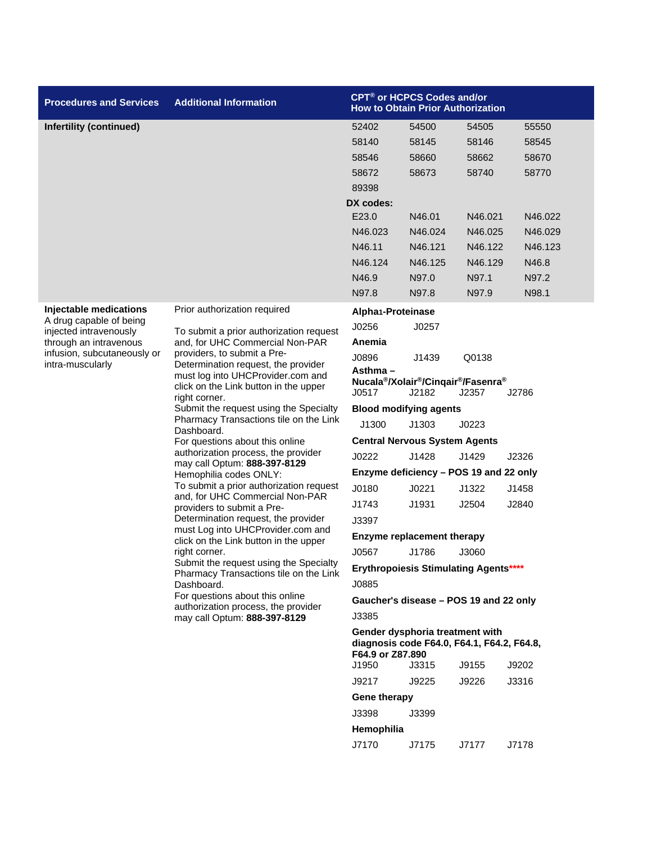| <b>Procedures and Services</b>                                              | <b>Additional Information</b>                                                                                                                                                                                                                                           | CPT <sup>®</sup> or HCPCS Codes and/or<br><b>How to Obtain Prior Authorization</b> |                                                                                               |         |         |  |
|-----------------------------------------------------------------------------|-------------------------------------------------------------------------------------------------------------------------------------------------------------------------------------------------------------------------------------------------------------------------|------------------------------------------------------------------------------------|-----------------------------------------------------------------------------------------------|---------|---------|--|
| Infertility (continued)                                                     |                                                                                                                                                                                                                                                                         | 52402                                                                              | 54500                                                                                         | 54505   | 55550   |  |
|                                                                             |                                                                                                                                                                                                                                                                         | 58140                                                                              | 58145                                                                                         | 58146   | 58545   |  |
|                                                                             |                                                                                                                                                                                                                                                                         | 58546                                                                              | 58660                                                                                         | 58662   | 58670   |  |
|                                                                             |                                                                                                                                                                                                                                                                         | 58672                                                                              | 58673                                                                                         | 58740   | 58770   |  |
|                                                                             |                                                                                                                                                                                                                                                                         | 89398                                                                              |                                                                                               |         |         |  |
|                                                                             |                                                                                                                                                                                                                                                                         | DX codes:                                                                          |                                                                                               |         |         |  |
|                                                                             |                                                                                                                                                                                                                                                                         | E23.0                                                                              | N46.01                                                                                        | N46.021 | N46.022 |  |
|                                                                             |                                                                                                                                                                                                                                                                         | N46.023                                                                            | N46.024                                                                                       | N46.025 | N46.029 |  |
|                                                                             |                                                                                                                                                                                                                                                                         | N46.11                                                                             | N46.121                                                                                       | N46.122 | N46.123 |  |
|                                                                             |                                                                                                                                                                                                                                                                         | N46.124                                                                            | N46.125                                                                                       | N46.129 | N46.8   |  |
|                                                                             |                                                                                                                                                                                                                                                                         | N46.9                                                                              | N97.0                                                                                         | N97.1   | N97.2   |  |
|                                                                             |                                                                                                                                                                                                                                                                         | N97.8                                                                              | N97.8                                                                                         | N97.9   | N98.1   |  |
| Injectable medications                                                      | Prior authorization required                                                                                                                                                                                                                                            | Alpha1-Proteinase                                                                  |                                                                                               |         |         |  |
| A drug capable of being<br>injected intravenously<br>through an intravenous | To submit a prior authorization request                                                                                                                                                                                                                                 | J0256                                                                              | J0257                                                                                         |         |         |  |
|                                                                             | and, for UHC Commercial Non-PAR                                                                                                                                                                                                                                         | Anemia                                                                             |                                                                                               |         |         |  |
| infusion, subcutaneously or                                                 | providers, to submit a Pre-                                                                                                                                                                                                                                             | J0896                                                                              | J1439                                                                                         | Q0138   |         |  |
| intra-muscularly                                                            | Determination request, the provider<br>must log into UHCProvider.com and<br>click on the Link button in the upper<br>right corner.<br>Submit the request using the Specialty<br>Pharmacy Transactions tile on the Link<br>Dashboard.<br>For questions about this online | Asthma –                                                                           |                                                                                               |         |         |  |
|                                                                             |                                                                                                                                                                                                                                                                         | J0517                                                                              | Nucala <sup>®</sup> /Xolair <sup>®</sup> /Cinqair <sup>®</sup> /Fasenra <sup>®</sup><br>J2182 | J2357   | J2786   |  |
|                                                                             |                                                                                                                                                                                                                                                                         | <b>Blood modifying agents</b>                                                      |                                                                                               |         |         |  |
|                                                                             |                                                                                                                                                                                                                                                                         | J1300                                                                              | J1303                                                                                         | J0223   |         |  |
|                                                                             |                                                                                                                                                                                                                                                                         |                                                                                    | <b>Central Nervous System Agents</b>                                                          |         |         |  |
|                                                                             | authorization process, the provider<br>may call Optum: 888-397-8129                                                                                                                                                                                                     | J0222                                                                              | J1428                                                                                         | J1429   | J2326   |  |
|                                                                             | Hemophilia codes ONLY:                                                                                                                                                                                                                                                  | Enzyme deficiency - POS 19 and 22 only                                             |                                                                                               |         |         |  |
|                                                                             | To submit a prior authorization request                                                                                                                                                                                                                                 | J0180                                                                              | J0221                                                                                         | J1322   | J1458   |  |
|                                                                             | and, for UHC Commercial Non-PAR<br>providers to submit a Pre-                                                                                                                                                                                                           | J1743                                                                              | J1931                                                                                         | J2504   | J2840   |  |
|                                                                             | Determination request, the provider                                                                                                                                                                                                                                     | J3397                                                                              |                                                                                               |         |         |  |
|                                                                             | must Log into UHCProvider.com and<br>click on the Link button in the upper                                                                                                                                                                                              | <b>Enzyme replacement therapy</b>                                                  |                                                                                               |         |         |  |
|                                                                             | right corner.                                                                                                                                                                                                                                                           | J0567                                                                              | J1786                                                                                         | J3060   |         |  |
|                                                                             | Submit the request using the Specialty<br>Pharmacy Transactions tile on the Link                                                                                                                                                                                        |                                                                                    | <b>Erythropoiesis Stimulating Agents****</b>                                                  |         |         |  |
|                                                                             | Dashboard.                                                                                                                                                                                                                                                              | J0885                                                                              |                                                                                               |         |         |  |
|                                                                             | For questions about this online                                                                                                                                                                                                                                         |                                                                                    | Gaucher's disease - POS 19 and 22 only                                                        |         |         |  |
|                                                                             | authorization process, the provider<br>may call Optum: 888-397-8129                                                                                                                                                                                                     | J3385                                                                              |                                                                                               |         |         |  |
|                                                                             |                                                                                                                                                                                                                                                                         | F64.9 or Z87.890                                                                   | Gender dysphoria treatment with<br>diagnosis code F64.0, F64.1, F64.2, F64.8,                 |         |         |  |
|                                                                             |                                                                                                                                                                                                                                                                         | J1950                                                                              | J3315                                                                                         | J9155   | J9202   |  |
|                                                                             |                                                                                                                                                                                                                                                                         | J9217                                                                              | J9225                                                                                         | J9226   | J3316   |  |
|                                                                             |                                                                                                                                                                                                                                                                         | Gene therapy                                                                       |                                                                                               |         |         |  |
|                                                                             |                                                                                                                                                                                                                                                                         | J3398                                                                              | J3399                                                                                         |         |         |  |
|                                                                             |                                                                                                                                                                                                                                                                         | Hemophilia                                                                         |                                                                                               |         |         |  |
|                                                                             |                                                                                                                                                                                                                                                                         | J7170                                                                              | J7175                                                                                         | J7177   | J7178   |  |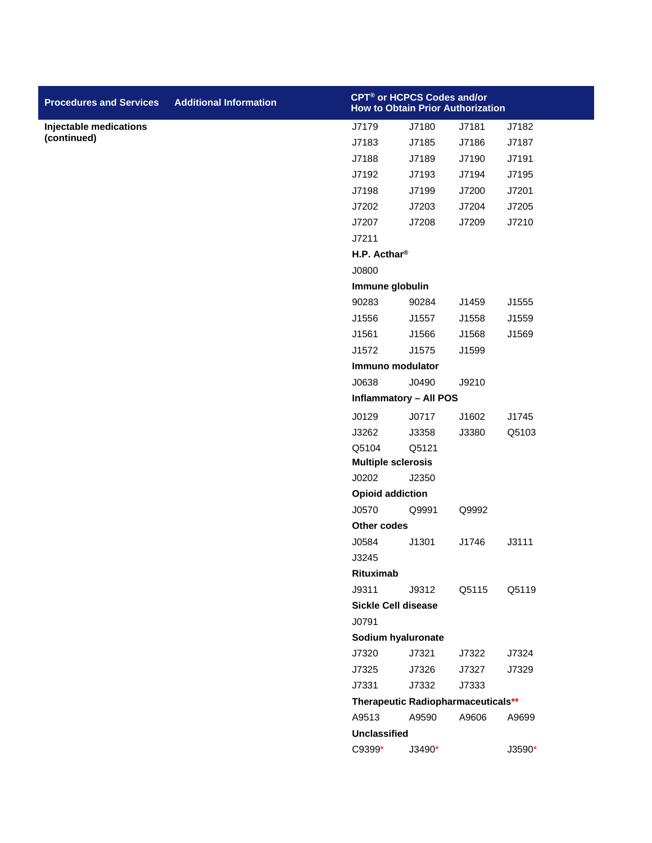| <b>Procedures and Services</b> | <b>Additional Information</b> | CPT <sup>®</sup> or HCPCS Codes and/or<br><b>How to Obtain Prior Authorization</b> |                                    |       |          |
|--------------------------------|-------------------------------|------------------------------------------------------------------------------------|------------------------------------|-------|----------|
| <b>Injectable medications</b>  |                               | J7179                                                                              | J7180                              | J7181 | J7182    |
| (continued)                    |                               | J7183                                                                              | J7185                              | J7186 | J7187    |
|                                |                               | J7188                                                                              | J7189                              | J7190 | J7191    |
|                                |                               | J7192                                                                              | J7193                              | J7194 | J7195    |
|                                |                               | J7198                                                                              | J7199                              | J7200 | J7201    |
|                                |                               | J7202                                                                              | J7203                              | J7204 | J7205    |
|                                |                               | J7207                                                                              | J7208                              | J7209 | J7210    |
|                                |                               | J7211                                                                              |                                    |       |          |
|                                |                               | H.P. Acthar®                                                                       |                                    |       |          |
|                                |                               | J0800                                                                              |                                    |       |          |
|                                |                               | Immune globulin                                                                    |                                    |       |          |
|                                |                               | 90283                                                                              | 90284                              | J1459 | J1555    |
|                                |                               | J1556                                                                              | J1557                              | J1558 | J1559    |
|                                |                               | J1561                                                                              | J1566                              | J1568 | J1569    |
|                                |                               | J1572                                                                              | J1575                              | J1599 |          |
|                                |                               | Immuno modulator                                                                   |                                    |       |          |
|                                |                               | J0638                                                                              | J0490                              | J9210 |          |
|                                |                               |                                                                                    | <b>Inflammatory - All POS</b>      |       |          |
|                                |                               | J0129                                                                              | J0717                              | J1602 | J1745    |
|                                |                               | J3262                                                                              | J3358                              | J3380 | Q5103    |
|                                |                               | Q5104                                                                              | Q5121                              |       |          |
|                                |                               | <b>Multiple sclerosis</b>                                                          |                                    |       |          |
|                                |                               | J0202                                                                              | J2350                              |       |          |
|                                |                               | <b>Opioid addiction</b>                                                            |                                    |       |          |
|                                |                               | J0570                                                                              | Q9991                              | Q9992 |          |
|                                |                               | Other codes                                                                        |                                    |       |          |
|                                |                               | J0584                                                                              | J1301                              | J1746 | J3111    |
|                                |                               | J3245                                                                              |                                    |       |          |
|                                |                               | Rituximab                                                                          |                                    |       |          |
|                                |                               | J9311                                                                              | J9312                              | Q5115 | Q5119    |
|                                |                               | <b>Sickle Cell disease</b>                                                         |                                    |       |          |
|                                |                               | J0791                                                                              |                                    |       |          |
|                                |                               | Sodium hyaluronate                                                                 |                                    |       |          |
|                                |                               | J7320                                                                              | J7321                              | J7322 | J7324    |
|                                |                               | J7325                                                                              | J7326                              | J7327 | J7329    |
|                                |                               | J7331                                                                              | J7332                              | J7333 |          |
|                                |                               |                                                                                    | Therapeutic Radiopharmaceuticals** |       |          |
|                                |                               | A9513                                                                              | A9590                              | A9606 | A9699    |
|                                |                               | <b>Unclassified</b>                                                                |                                    |       |          |
|                                |                               | C9399*                                                                             | J3490*                             |       | $J3590*$ |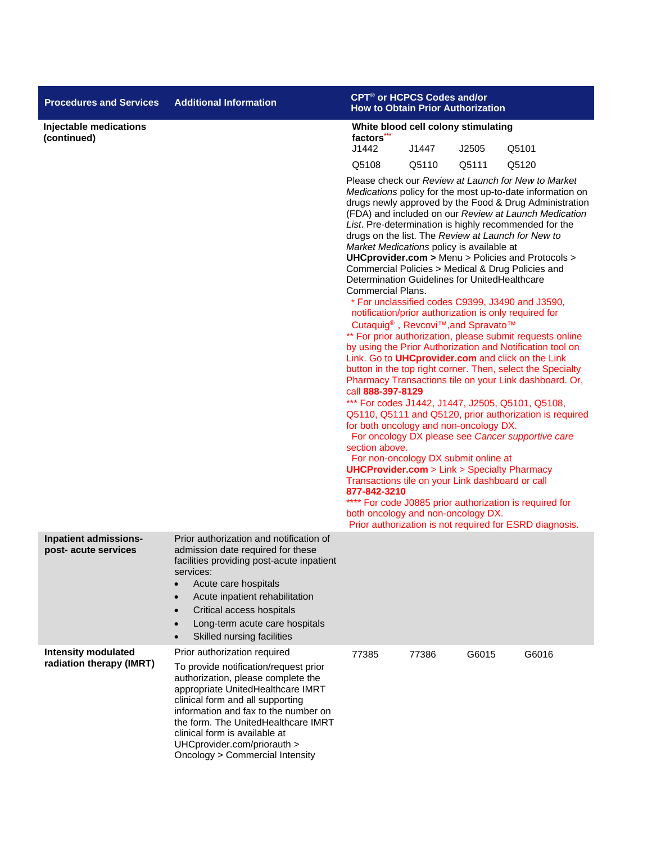| <b>Procedures and Services</b>                         | <b>Additional Information</b>                                                                                                                                                                                                                                                                                                                                          | CPT <sup>®</sup> or HCPCS Codes and/or<br><b>How to Obtain Prior Authorization</b>                                                                                                                                                                                                                                                                                                                                                                                                                                                                                                                                                                                                                                                                                                                                                                                                                                                                                                                                                                                                                                                                                                                                                                                                                                                                                                                                                                                                                                                                                                                           |       |       |                                                         |  |
|--------------------------------------------------------|------------------------------------------------------------------------------------------------------------------------------------------------------------------------------------------------------------------------------------------------------------------------------------------------------------------------------------------------------------------------|--------------------------------------------------------------------------------------------------------------------------------------------------------------------------------------------------------------------------------------------------------------------------------------------------------------------------------------------------------------------------------------------------------------------------------------------------------------------------------------------------------------------------------------------------------------------------------------------------------------------------------------------------------------------------------------------------------------------------------------------------------------------------------------------------------------------------------------------------------------------------------------------------------------------------------------------------------------------------------------------------------------------------------------------------------------------------------------------------------------------------------------------------------------------------------------------------------------------------------------------------------------------------------------------------------------------------------------------------------------------------------------------------------------------------------------------------------------------------------------------------------------------------------------------------------------------------------------------------------------|-------|-------|---------------------------------------------------------|--|
| Injectable medications<br>(continued)                  |                                                                                                                                                                                                                                                                                                                                                                        | White blood cell colony stimulating<br>factors<br>J1442                                                                                                                                                                                                                                                                                                                                                                                                                                                                                                                                                                                                                                                                                                                                                                                                                                                                                                                                                                                                                                                                                                                                                                                                                                                                                                                                                                                                                                                                                                                                                      | Q5101 |       |                                                         |  |
|                                                        |                                                                                                                                                                                                                                                                                                                                                                        |                                                                                                                                                                                                                                                                                                                                                                                                                                                                                                                                                                                                                                                                                                                                                                                                                                                                                                                                                                                                                                                                                                                                                                                                                                                                                                                                                                                                                                                                                                                                                                                                              | J1447 | J2505 |                                                         |  |
|                                                        |                                                                                                                                                                                                                                                                                                                                                                        | Q5111<br>Q5120<br>Q5108<br>Q5110<br>Please check our Review at Launch for New to Market<br>Medications policy for the most up-to-date information on<br>drugs newly approved by the Food & Drug Administration<br>(FDA) and included on our Review at Launch Medication<br>List. Pre-determination is highly recommended for the<br>drugs on the list. The Review at Launch for New to<br>Market Medications policy is available at<br>UHCprovider.com > Menu > Policies and Protocols ><br>Commercial Policies > Medical & Drug Policies and<br>Determination Guidelines for UnitedHealthcare<br><b>Commercial Plans.</b><br>* For unclassified codes C9399, J3490 and J3590,<br>notification/prior authorization is only required for<br>Cutaquig <sup>®</sup> , Revcovi <sup>™</sup> , and Spravato <sup>™</sup><br>** For prior authorization, please submit requests online<br>by using the Prior Authorization and Notification tool on<br>Link. Go to UHCprovider.com and click on the Link<br>button in the top right corner. Then, select the Specialty<br>Pharmacy Transactions tile on your Link dashboard. Or,<br>call 888-397-8129<br>*** For codes J1442, J1447, J2505, Q5101, Q5108,<br>Q5110, Q5111 and Q5120, prior authorization is required<br>for both oncology and non-oncology DX.<br>For oncology DX please see Cancer supportive care<br>section above.<br>For non-oncology DX submit online at<br><b>UHCProvider.com</b> > Link > Specialty Pharmacy<br>Transactions tile on your Link dashboard or call<br>877-842-3210<br>**** For code J0885 prior authorization is required for |       |       |                                                         |  |
| Inpatient admissions-<br>post- acute services          | Prior authorization and notification of<br>admission date required for these<br>facilities providing post-acute inpatient<br>services:<br>Acute care hospitals<br>Acute inpatient rehabilitation<br>$\bullet$<br>Critical access hospitals<br>$\bullet$<br>Long-term acute care hospitals<br>$\bullet$<br>Skilled nursing facilities                                   |                                                                                                                                                                                                                                                                                                                                                                                                                                                                                                                                                                                                                                                                                                                                                                                                                                                                                                                                                                                                                                                                                                                                                                                                                                                                                                                                                                                                                                                                                                                                                                                                              |       |       | Prior authorization is not required for ESRD diagnosis. |  |
| <b>Intensity modulated</b><br>radiation therapy (IMRT) | Prior authorization required<br>To provide notification/request prior<br>authorization, please complete the<br>appropriate UnitedHealthcare IMRT<br>clinical form and all supporting<br>information and fax to the number on<br>the form. The UnitedHealthcare IMRT<br>clinical form is available at<br>UHCprovider.com/priorauth ><br>Oncology > Commercial Intensity | 77385                                                                                                                                                                                                                                                                                                                                                                                                                                                                                                                                                                                                                                                                                                                                                                                                                                                                                                                                                                                                                                                                                                                                                                                                                                                                                                                                                                                                                                                                                                                                                                                                        | 77386 | G6015 | G6016                                                   |  |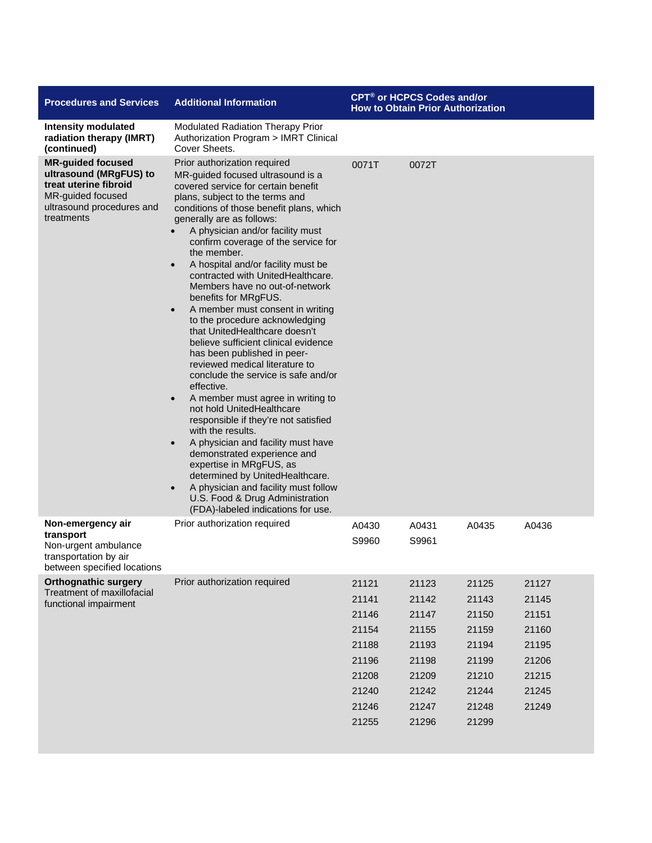| <b>Procedures and Services</b>                                                                                                              | <b>Additional Information</b>                                                                                                                                                                                                                                                                                                                                                                                                                                                                                                                                                                                                                                                                                                                                                                                                                                                                                                                                                                                                                                                                                                                      | CPT <sup>®</sup> or HCPCS Codes and/or<br><b>How to Obtain Prior Authorization</b>     |                                                                                        |                                                                                        |                                                                               |
|---------------------------------------------------------------------------------------------------------------------------------------------|----------------------------------------------------------------------------------------------------------------------------------------------------------------------------------------------------------------------------------------------------------------------------------------------------------------------------------------------------------------------------------------------------------------------------------------------------------------------------------------------------------------------------------------------------------------------------------------------------------------------------------------------------------------------------------------------------------------------------------------------------------------------------------------------------------------------------------------------------------------------------------------------------------------------------------------------------------------------------------------------------------------------------------------------------------------------------------------------------------------------------------------------------|----------------------------------------------------------------------------------------|----------------------------------------------------------------------------------------|----------------------------------------------------------------------------------------|-------------------------------------------------------------------------------|
| <b>Intensity modulated</b><br>radiation therapy (IMRT)<br>(continued)                                                                       | Modulated Radiation Therapy Prior<br>Authorization Program > IMRT Clinical<br>Cover Sheets.                                                                                                                                                                                                                                                                                                                                                                                                                                                                                                                                                                                                                                                                                                                                                                                                                                                                                                                                                                                                                                                        |                                                                                        |                                                                                        |                                                                                        |                                                                               |
| <b>MR-guided focused</b><br>ultrasound (MRgFUS) to<br>treat uterine fibroid<br>MR-guided focused<br>ultrasound procedures and<br>treatments | Prior authorization required<br>MR-guided focused ultrasound is a<br>covered service for certain benefit<br>plans, subject to the terms and<br>conditions of those benefit plans, which<br>generally are as follows:<br>A physician and/or facility must<br>$\bullet$<br>confirm coverage of the service for<br>the member.<br>A hospital and/or facility must be<br>contracted with UnitedHealthcare.<br>Members have no out-of-network<br>benefits for MRgFUS.<br>A member must consent in writing<br>to the procedure acknowledging<br>that UnitedHealthcare doesn't<br>believe sufficient clinical evidence<br>has been published in peer-<br>reviewed medical literature to<br>conclude the service is safe and/or<br>effective.<br>A member must agree in writing to<br>$\bullet$<br>not hold UnitedHealthcare<br>responsible if they're not satisfied<br>with the results.<br>A physician and facility must have<br>$\bullet$<br>demonstrated experience and<br>expertise in MRgFUS, as<br>determined by UnitedHealthcare.<br>A physician and facility must follow<br>U.S. Food & Drug Administration<br>(FDA)-labeled indications for use. | 0071T                                                                                  | 0072T                                                                                  |                                                                                        |                                                                               |
| Non-emergency air<br>transport<br>Non-urgent ambulance<br>transportation by air<br>between specified locations                              | Prior authorization required                                                                                                                                                                                                                                                                                                                                                                                                                                                                                                                                                                                                                                                                                                                                                                                                                                                                                                                                                                                                                                                                                                                       | A0430<br>S9960                                                                         | A0431<br>S9961                                                                         | A0435                                                                                  | A0436                                                                         |
| <b>Orthognathic surgery</b><br>Treatment of maxillofacial<br>functional impairment                                                          | Prior authorization required                                                                                                                                                                                                                                                                                                                                                                                                                                                                                                                                                                                                                                                                                                                                                                                                                                                                                                                                                                                                                                                                                                                       | 21121<br>21141<br>21146<br>21154<br>21188<br>21196<br>21208<br>21240<br>21246<br>21255 | 21123<br>21142<br>21147<br>21155<br>21193<br>21198<br>21209<br>21242<br>21247<br>21296 | 21125<br>21143<br>21150<br>21159<br>21194<br>21199<br>21210<br>21244<br>21248<br>21299 | 21127<br>21145<br>21151<br>21160<br>21195<br>21206<br>21215<br>21245<br>21249 |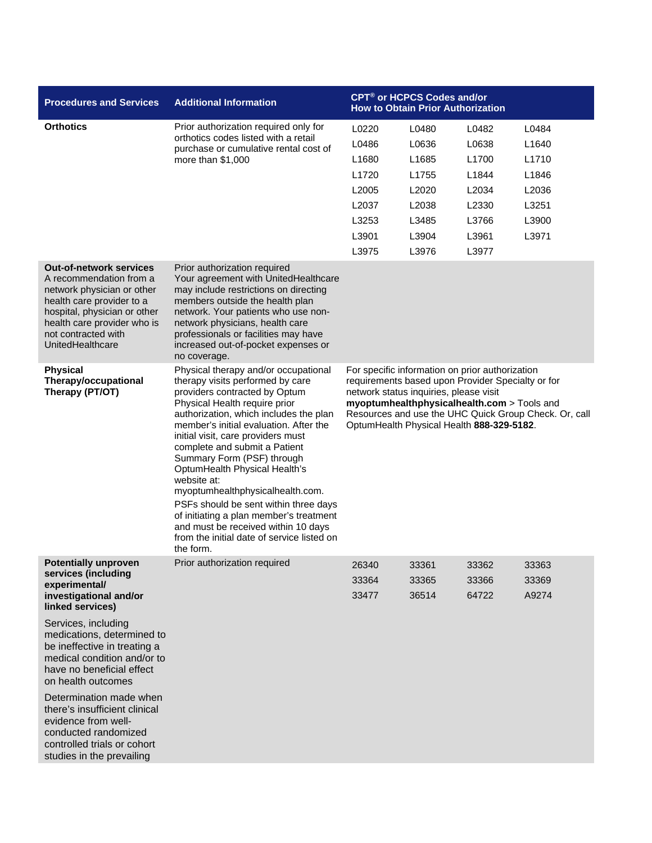| <b>Procedures and Services</b>                                                                                                                                                                                                  | <b>Additional Information</b>                                                                                                                                                                                                                                                                                                                                                                                                                                                                                                                                                                                 |                                                                                                                                                                                                                                                                                                     | CPT <sup>®</sup> or HCPCS Codes and/or<br><b>How to Obtain Prior Authorization</b> |                                                                               |                                                                                  |
|---------------------------------------------------------------------------------------------------------------------------------------------------------------------------------------------------------------------------------|---------------------------------------------------------------------------------------------------------------------------------------------------------------------------------------------------------------------------------------------------------------------------------------------------------------------------------------------------------------------------------------------------------------------------------------------------------------------------------------------------------------------------------------------------------------------------------------------------------------|-----------------------------------------------------------------------------------------------------------------------------------------------------------------------------------------------------------------------------------------------------------------------------------------------------|------------------------------------------------------------------------------------|-------------------------------------------------------------------------------|----------------------------------------------------------------------------------|
| <b>Orthotics</b>                                                                                                                                                                                                                | Prior authorization required only for<br>orthotics codes listed with a retail<br>purchase or cumulative rental cost of<br>more than \$1,000                                                                                                                                                                                                                                                                                                                                                                                                                                                                   | L0220<br>L0486<br>L <sub>1680</sub><br>L1720<br>L2005<br>L2037<br>L3253<br>L3901<br>L3975                                                                                                                                                                                                           | L0480<br>L0636<br>L1685<br>L1755<br>L2020<br>L2038<br>L3485<br>L3904<br>L3976      | L0482<br>L0638<br>L1700<br>L1844<br>L2034<br>L2330<br>L3766<br>L3961<br>L3977 | L0484<br>L <sub>1640</sub><br>L1710<br>L1846<br>L2036<br>L3251<br>L3900<br>L3971 |
| <b>Out-of-network services</b><br>A recommendation from a<br>network physician or other<br>health care provider to a<br>hospital, physician or other<br>health care provider who is<br>not contracted with<br>UnitedHealthcare  | Prior authorization required<br>Your agreement with UnitedHealthcare<br>may include restrictions on directing<br>members outside the health plan<br>network. Your patients who use non-<br>network physicians, health care<br>professionals or facilities may have<br>increased out-of-pocket expenses or<br>no coverage.                                                                                                                                                                                                                                                                                     |                                                                                                                                                                                                                                                                                                     |                                                                                    |                                                                               |                                                                                  |
| <b>Physical</b><br>Therapy/occupational<br>Therapy (PT/OT)                                                                                                                                                                      | Physical therapy and/or occupational<br>therapy visits performed by care<br>providers contracted by Optum<br>Physical Health require prior<br>authorization, which includes the plan<br>member's initial evaluation. After the<br>initial visit, care providers must<br>complete and submit a Patient<br>Summary Form (PSF) through<br>OptumHealth Physical Health's<br>website at:<br>myoptumhealthphysicalhealth.com.<br>PSFs should be sent within three days<br>of initiating a plan member's treatment<br>and must be received within 10 days<br>from the initial date of service listed on<br>the form. | For specific information on prior authorization<br>requirements based upon Provider Specialty or for<br>network status inquiries, please visit<br>myoptumhealthphysicalhealth.com > Tools and<br>Resources and use the UHC Quick Group Check. Or, call<br>OptumHealth Physical Health 888-329-5182. |                                                                                    |                                                                               |                                                                                  |
| <b>Potentially unproven</b><br>services (including<br>experimental/<br>investigational and/or<br>linked services)                                                                                                               | Prior authorization required                                                                                                                                                                                                                                                                                                                                                                                                                                                                                                                                                                                  | 26340<br>33364<br>33477                                                                                                                                                                                                                                                                             | 33361<br>33365<br>36514                                                            | 33362<br>33366<br>64722                                                       | 33363<br>33369<br>A9274                                                          |
| Services, including<br>medications, determined to<br>be ineffective in treating a<br>medical condition and/or to<br>have no beneficial effect<br>on health outcomes<br>Determination made when<br>there's insufficient clinical |                                                                                                                                                                                                                                                                                                                                                                                                                                                                                                                                                                                                               |                                                                                                                                                                                                                                                                                                     |                                                                                    |                                                                               |                                                                                  |
| evidence from well-<br>conducted randomized<br>controlled trials or cohort<br>studies in the prevailing                                                                                                                         |                                                                                                                                                                                                                                                                                                                                                                                                                                                                                                                                                                                                               |                                                                                                                                                                                                                                                                                                     |                                                                                    |                                                                               |                                                                                  |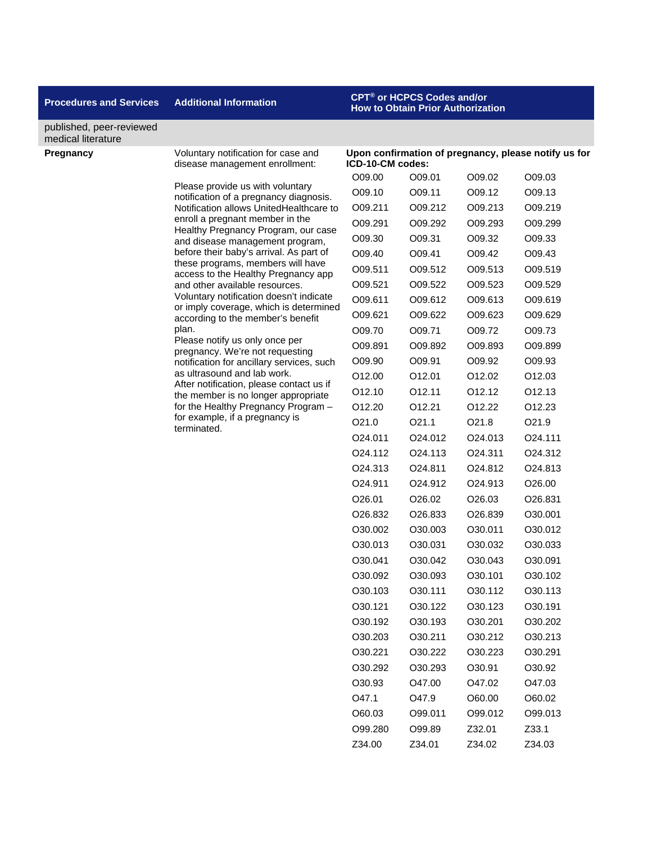### **Procedures and Services Additional Information CPT® or HCPCS Codes and/or**

## **How to Obtain Prior Authorization**

**Upon confirmation of pregnancy, please notify us for** 

#### published, peer-reviewed medical literature

**Pregnancy Voluntary notification for case and** disease management enrollment:

> Please provide us with voluntary notification of a pregnancy diagnosis. Notification allows UnitedHealthcare to enroll a pregnant member in the Healthy Pregnancy Program, our case and disease management program, before their baby's arrival. As part of these programs, members will have access to the Healthy Pregnancy app and other available resources. Voluntary notification doesn't indicate or imply coverage, which is determined according to the member's benefit plan. Please notify us only once per pregnancy. We're not requesting

notification for ancillary services, such as ultrasound and lab work. After notification, please contact us if the member is no longer appropriate for the Healthy Pregnancy Program – for example, if a pregnancy is terminated.

| ICD-10-CM codes:    |                      |                     |                    |
|---------------------|----------------------|---------------------|--------------------|
| O09.00              | O09.01               | O09.02              | O09.03             |
| O09.10              | O09.11               | O09.12              | O09.13             |
| O09.211             | O09.212              | O09.213             | O09.219            |
| O09.291             | O09.292              | O09.293             | O09.299            |
| O09.30              | O09.31               | O09.32              | O09.33             |
| O09.40              | O09.41               | O09.42              | O09.43             |
| O09.511             | O09.512              | O09.513             | O09.519            |
| O09.521             | O09.522              | O09.523             | O09.529            |
| O09.611             | O09.612              | O09.613             | O09.619            |
| O09.621             | O09.622              | O09.623             | O09.629            |
| O09.70              | O09.71               | O09.72              | O09.73             |
| O09.891             | O09.892              | O09.893             | O09.899            |
| O09.90              | O09.91               | O09.92              | O09.93             |
| O <sub>12.00</sub>  | 012.01               | O <sub>12.02</sub>  | O <sub>12.03</sub> |
| O <sub>12.10</sub>  | 012.11               | 012.12              | 012.13             |
| O12.20              | 012.21               | 012.22              | 012.23             |
| O21.0               | 021.1                | O <sub>21.8</sub>   | O21.9              |
| O24.011             | O24.012              | O24.013             | O24.111            |
| O <sub>24.112</sub> | O <sub>24</sub> .113 | O24.311             | O24.312            |
| O24.313             | O24.811              | 024.812             | O24.813            |
| O24.911             | O24.912              | O24.913             | O26.00             |
| O26.01              | O26.02               | O26.03              | O26.831            |
| O26.832             | O <sub>26.833</sub>  | O <sub>26.839</sub> | O30.001            |
| O30.002             | O30.003              | O30.011             | O30.012            |
| O30.013             | O30.031              | O30.032             | O30.033            |
| O30.041             | O30.042              | O30.043             | O30.091            |
| O30.092             | O30.093              | O30.101             | O30.102            |
| O30.103             | O30.111              | O30.112             | O30.113            |
| O30.121             | 030.122              | O30.123             | O30.191            |
| O30.192             | O30.193              | O30.201             | O30.202            |
| O30.203             | 030.211              | 030.212             | O30.213            |
| O30.221             | O30.222              | O30.223             | O30.291            |
| O30.292             | O30.293              | O30.91              | O30.92             |
| O30.93              | O47.00               | O47.02              | O47.03             |
| O47.1               | O47.9                | O60.00              | O60.02             |
| O60.03              | O99.011              | O99.012             | O99.013            |
| O99.280             | O99.89               | Z32.01              | Z33.1              |
| Z34.00              | Z34.01               | Z34.02              | Z34.03             |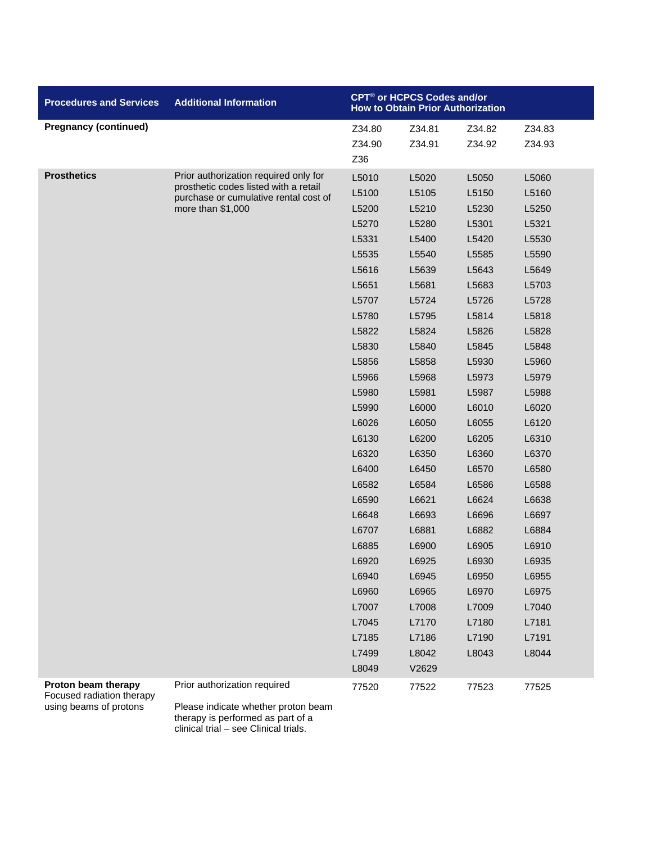| <b>Procedures and Services</b>                   | <b>Additional Information</b>                              | CPT <sup>®</sup> or HCPCS Codes and/or<br><b>How to Obtain Prior Authorization</b> |                  |                  |                  |
|--------------------------------------------------|------------------------------------------------------------|------------------------------------------------------------------------------------|------------------|------------------|------------------|
| <b>Pregnancy (continued)</b>                     |                                                            | Z34.80<br>Z34.90<br>Z36                                                            | Z34.81<br>Z34.91 | Z34.82<br>Z34.92 | Z34.83<br>Z34.93 |
| <b>Prosthetics</b>                               | Prior authorization required only for                      | L5010                                                                              | L5020            | L5050            | L5060            |
|                                                  | prosthetic codes listed with a retail                      | L5100                                                                              | L5105            | L5150            | L5160            |
|                                                  | purchase or cumulative rental cost of<br>more than \$1,000 | L5200                                                                              | L5210            | L5230            | L5250            |
|                                                  |                                                            | L5270                                                                              | L5280            | L5301            | L5321            |
|                                                  |                                                            | L5331                                                                              | L5400            | L5420            | L5530            |
|                                                  |                                                            | L5535                                                                              | L5540            | L5585            | L5590            |
|                                                  |                                                            | L5616                                                                              | L5639            | L5643            | L5649            |
|                                                  |                                                            | L5651                                                                              | L5681            | L5683            | L5703            |
|                                                  |                                                            | L5707                                                                              | L5724            | L5726            | L5728            |
|                                                  |                                                            | L5780                                                                              | L5795            | L5814            | L5818            |
|                                                  |                                                            | L5822                                                                              | L5824            | L5826            | L5828            |
|                                                  |                                                            | L5830                                                                              | L5840            | L5845            | L5848            |
|                                                  |                                                            | L5856                                                                              | L5858            | L5930            | L5960            |
|                                                  |                                                            | L5966                                                                              | L5968            | L5973            | L5979            |
|                                                  |                                                            | L5980                                                                              | L5981            | L5987            | L5988            |
|                                                  |                                                            | L5990                                                                              | L6000            | L6010            | L6020            |
|                                                  |                                                            | L6026                                                                              | L6050            | L6055            | L6120            |
|                                                  |                                                            | L6130                                                                              | L6200            | L6205            | L6310            |
|                                                  |                                                            | L6320                                                                              | L6350            | L6360            | L6370            |
|                                                  |                                                            | L6400                                                                              | L6450            | L6570            | L6580            |
|                                                  |                                                            | L6582                                                                              | L6584            | L6586            | L6588            |
|                                                  |                                                            | L6590                                                                              | L6621            | L6624            | L6638            |
|                                                  |                                                            | L6648                                                                              | L6693            | L6696            | L6697            |
|                                                  |                                                            | L6707                                                                              | L6881            | L6882            | L6884            |
|                                                  |                                                            | L6885                                                                              | L6900            | L6905            | L6910            |
|                                                  |                                                            | L6920                                                                              | L6925            | L6930            | L6935            |
|                                                  |                                                            | L6940                                                                              | L6945            | L6950            | L6955            |
|                                                  |                                                            | L6960                                                                              | L6965            | L6970            | L6975            |
|                                                  |                                                            | L7007                                                                              | L7008            | L7009            | L7040            |
|                                                  |                                                            | L7045                                                                              | L7170            | L7180            | L7181            |
|                                                  |                                                            | L7185                                                                              | L7186            | L7190            | L7191            |
|                                                  |                                                            | L7499                                                                              | L8042            | L8043            | L8044            |
|                                                  |                                                            | L8049                                                                              | V2629            |                  |                  |
| Proton beam therapy<br>Focused radiation therapy | Prior authorization required                               | 77520                                                                              | 77522            | 77523            | 77525            |
| using beams of protons                           | Please indicate whether proton beam                        |                                                                                    |                  |                  |                  |

Please indicate whether proton beam therapy is performed as part of a clinical trial – see Clinical trials.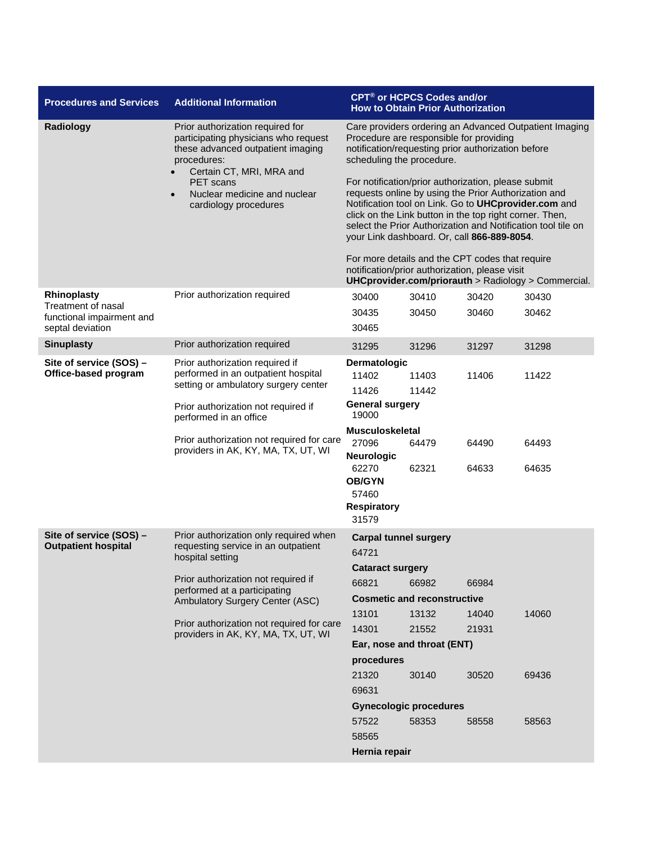| <b>Procedures and Services</b>                  | <b>Additional Information</b>                                                                                                                                                                                                                                       |                                                                                                                                                                                                                                                                                                                                                                                                                                                                                                                                                                                                                                                                                                          | <b>CPT<sup>®</sup> or HCPCS Codes and/or</b><br><b>How to Obtain Prior Authorization</b> |                         |                         |
|-------------------------------------------------|---------------------------------------------------------------------------------------------------------------------------------------------------------------------------------------------------------------------------------------------------------------------|----------------------------------------------------------------------------------------------------------------------------------------------------------------------------------------------------------------------------------------------------------------------------------------------------------------------------------------------------------------------------------------------------------------------------------------------------------------------------------------------------------------------------------------------------------------------------------------------------------------------------------------------------------------------------------------------------------|------------------------------------------------------------------------------------------|-------------------------|-------------------------|
| Radiology                                       | Prior authorization required for<br>participating physicians who request<br>these advanced outpatient imaging<br>procedures:<br>Certain CT, MRI, MRA and<br>PET scans<br>Nuclear medicine and nuclear<br>$\bullet$<br>cardiology procedures                         | Care providers ordering an Advanced Outpatient Imaging<br>Procedure are responsible for providing<br>notification/requesting prior authorization before<br>scheduling the procedure.<br>For notification/prior authorization, please submit<br>requests online by using the Prior Authorization and<br>Notification tool on Link. Go to UHCprovider.com and<br>click on the Link button in the top right corner. Then,<br>select the Prior Authorization and Notification tool tile on<br>your Link dashboard. Or, call 866-889-8054.<br>For more details and the CPT codes that require<br>notification/prior authorization, please visit<br><b>UHCprovider.com/priorauth</b> > Radiology > Commercial. |                                                                                          |                         |                         |
| Rhinoplasty                                     | Prior authorization required                                                                                                                                                                                                                                        | 30400                                                                                                                                                                                                                                                                                                                                                                                                                                                                                                                                                                                                                                                                                                    | 30410                                                                                    | 30420                   | 30430                   |
| Treatment of nasal<br>functional impairment and |                                                                                                                                                                                                                                                                     | 30435                                                                                                                                                                                                                                                                                                                                                                                                                                                                                                                                                                                                                                                                                                    | 30450                                                                                    | 30460                   | 30462                   |
| septal deviation                                |                                                                                                                                                                                                                                                                     | 30465                                                                                                                                                                                                                                                                                                                                                                                                                                                                                                                                                                                                                                                                                                    |                                                                                          |                         |                         |
| <b>Sinuplasty</b>                               | Prior authorization required                                                                                                                                                                                                                                        | 31295                                                                                                                                                                                                                                                                                                                                                                                                                                                                                                                                                                                                                                                                                                    | 31296                                                                                    | 31297                   | 31298                   |
| Site of service (SOS) -<br>Office-based program | Prior authorization required if<br>performed in an outpatient hospital<br>setting or ambulatory surgery center<br>Prior authorization not required if<br>performed in an office<br>Prior authorization not required for care<br>providers in AK, KY, MA, TX, UT, WI | Dermatologic<br>11402<br>11426<br><b>General surgery</b><br>19000<br><b>Musculoskeletal</b><br>27096<br><b>Neurologic</b><br>62270<br><b>OB/GYN</b><br>57460<br><b>Respiratory</b>                                                                                                                                                                                                                                                                                                                                                                                                                                                                                                                       | 11403<br>11442<br>64479<br>62321                                                         | 11406<br>64490<br>64633 | 11422<br>64493<br>64635 |
| Site of service (SOS) -                         | Prior authorization only required when                                                                                                                                                                                                                              | 31579                                                                                                                                                                                                                                                                                                                                                                                                                                                                                                                                                                                                                                                                                                    |                                                                                          |                         |                         |
| <b>Outpatient hospital</b>                      | requesting service in an outpatient                                                                                                                                                                                                                                 | <b>Carpal tunnel surgery</b><br>64721                                                                                                                                                                                                                                                                                                                                                                                                                                                                                                                                                                                                                                                                    |                                                                                          |                         |                         |
|                                                 | hospital setting                                                                                                                                                                                                                                                    | <b>Cataract surgery</b>                                                                                                                                                                                                                                                                                                                                                                                                                                                                                                                                                                                                                                                                                  |                                                                                          |                         |                         |
|                                                 | Prior authorization not required if                                                                                                                                                                                                                                 | 66821                                                                                                                                                                                                                                                                                                                                                                                                                                                                                                                                                                                                                                                                                                    | 66982                                                                                    | 66984                   |                         |
|                                                 | performed at a participating<br>Ambulatory Surgery Center (ASC)                                                                                                                                                                                                     |                                                                                                                                                                                                                                                                                                                                                                                                                                                                                                                                                                                                                                                                                                          | <b>Cosmetic and reconstructive</b>                                                       |                         |                         |
|                                                 |                                                                                                                                                                                                                                                                     | 13101                                                                                                                                                                                                                                                                                                                                                                                                                                                                                                                                                                                                                                                                                                    | 13132                                                                                    | 14040                   | 14060                   |
|                                                 | Prior authorization not required for care<br>providers in AK, KY, MA, TX, UT, WI                                                                                                                                                                                    | 14301                                                                                                                                                                                                                                                                                                                                                                                                                                                                                                                                                                                                                                                                                                    | 21552                                                                                    | 21931                   |                         |
|                                                 |                                                                                                                                                                                                                                                                     |                                                                                                                                                                                                                                                                                                                                                                                                                                                                                                                                                                                                                                                                                                          | Ear, nose and throat (ENT)                                                               |                         |                         |
|                                                 |                                                                                                                                                                                                                                                                     | procedures                                                                                                                                                                                                                                                                                                                                                                                                                                                                                                                                                                                                                                                                                               |                                                                                          |                         |                         |
|                                                 |                                                                                                                                                                                                                                                                     | 21320                                                                                                                                                                                                                                                                                                                                                                                                                                                                                                                                                                                                                                                                                                    | 30140                                                                                    | 30520                   | 69436                   |
|                                                 |                                                                                                                                                                                                                                                                     | 69631                                                                                                                                                                                                                                                                                                                                                                                                                                                                                                                                                                                                                                                                                                    |                                                                                          |                         |                         |
|                                                 |                                                                                                                                                                                                                                                                     |                                                                                                                                                                                                                                                                                                                                                                                                                                                                                                                                                                                                                                                                                                          | <b>Gynecologic procedures</b>                                                            |                         |                         |
|                                                 |                                                                                                                                                                                                                                                                     | 57522                                                                                                                                                                                                                                                                                                                                                                                                                                                                                                                                                                                                                                                                                                    | 58353                                                                                    | 58558                   | 58563                   |
|                                                 |                                                                                                                                                                                                                                                                     | 58565                                                                                                                                                                                                                                                                                                                                                                                                                                                                                                                                                                                                                                                                                                    |                                                                                          |                         |                         |
|                                                 |                                                                                                                                                                                                                                                                     | Hernia repair                                                                                                                                                                                                                                                                                                                                                                                                                                                                                                                                                                                                                                                                                            |                                                                                          |                         |                         |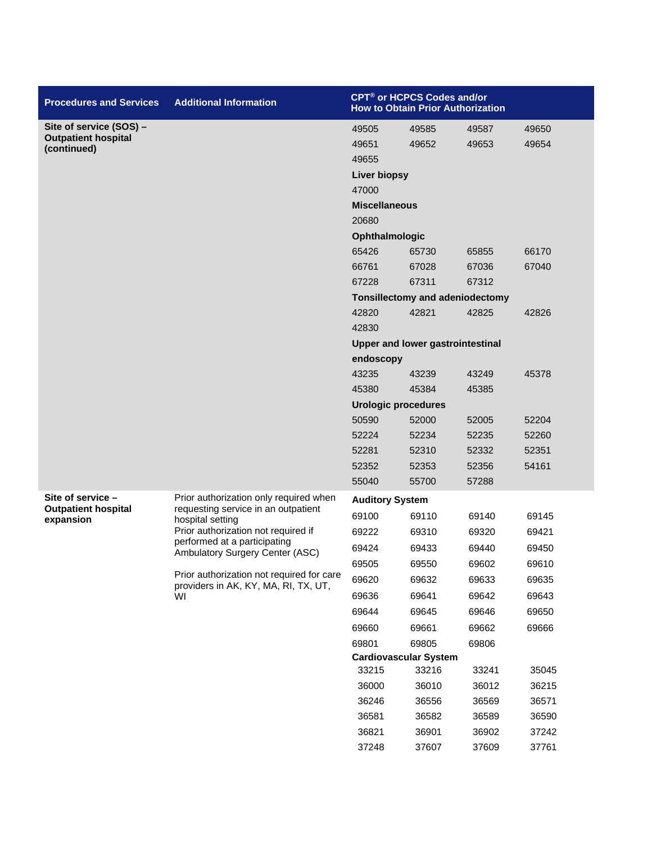| <b>Procedures and Services</b>                  | <b>Additional Information</b>                                                     |                            | CPT <sup>®</sup> or HCPCS Codes and/or<br><b>How to Obtain Prior Authorization</b> |       |       |  |
|-------------------------------------------------|-----------------------------------------------------------------------------------|----------------------------|------------------------------------------------------------------------------------|-------|-------|--|
| Site of service (SOS) -                         |                                                                                   | 49505                      | 49585                                                                              | 49587 | 49650 |  |
| <b>Outpatient hospital</b><br>(continued)       |                                                                                   | 49651                      | 49652                                                                              | 49653 | 49654 |  |
|                                                 |                                                                                   | 49655                      |                                                                                    |       |       |  |
|                                                 |                                                                                   | <b>Liver biopsy</b>        |                                                                                    |       |       |  |
|                                                 |                                                                                   | 47000                      |                                                                                    |       |       |  |
|                                                 |                                                                                   | <b>Miscellaneous</b>       |                                                                                    |       |       |  |
|                                                 |                                                                                   | 20680                      |                                                                                    |       |       |  |
|                                                 |                                                                                   | Ophthalmologic             |                                                                                    |       |       |  |
|                                                 |                                                                                   | 65426                      | 65730                                                                              | 65855 | 66170 |  |
|                                                 |                                                                                   | 66761                      | 67028                                                                              | 67036 | 67040 |  |
|                                                 |                                                                                   | 67228                      | 67311                                                                              | 67312 |       |  |
|                                                 |                                                                                   |                            | Tonsillectomy and adeniodectomy                                                    |       |       |  |
|                                                 |                                                                                   | 42820                      | 42821                                                                              | 42825 | 42826 |  |
|                                                 |                                                                                   | 42830                      |                                                                                    |       |       |  |
|                                                 |                                                                                   |                            | <b>Upper and lower gastrointestinal</b>                                            |       |       |  |
|                                                 |                                                                                   | endoscopy                  |                                                                                    |       |       |  |
|                                                 |                                                                                   | 43235                      | 43239                                                                              | 43249 | 45378 |  |
|                                                 |                                                                                   | 45380                      | 45384                                                                              | 45385 |       |  |
|                                                 |                                                                                   | <b>Urologic procedures</b> |                                                                                    |       |       |  |
|                                                 |                                                                                   | 50590                      | 52000                                                                              | 52005 | 52204 |  |
|                                                 |                                                                                   | 52224                      | 52234                                                                              | 52235 | 52260 |  |
|                                                 |                                                                                   | 52281                      | 52310                                                                              | 52332 | 52351 |  |
|                                                 |                                                                                   | 52352                      | 52353                                                                              | 52356 | 54161 |  |
|                                                 |                                                                                   | 55040                      | 55700                                                                              | 57288 |       |  |
| Site of service -<br><b>Outpatient hospital</b> | Prior authorization only required when                                            | <b>Auditory System</b>     |                                                                                    |       |       |  |
| expansion                                       | requesting service in an outpatient<br>hospital setting                           | 69100                      | 69110                                                                              | 69140 | 69145 |  |
|                                                 | Prior authorization not required if                                               | 69222                      | 69310                                                                              | 69320 | 69421 |  |
|                                                 | performed at a participating<br>Ambulatory Surgery Center (ASC)                   | 69424                      | 69433                                                                              | 69440 | 69450 |  |
|                                                 |                                                                                   | 69505                      | 69550                                                                              | 69602 | 69610 |  |
|                                                 | Prior authorization not required for care<br>providers in AK, KY, MA, RI, TX, UT, | 69620                      | 69632                                                                              | 69633 | 69635 |  |
|                                                 | WI                                                                                | 69636                      | 69641                                                                              | 69642 | 69643 |  |
|                                                 |                                                                                   | 69644                      | 69645                                                                              | 69646 | 69650 |  |
|                                                 |                                                                                   | 69660                      | 69661                                                                              | 69662 | 69666 |  |
|                                                 |                                                                                   | 69801                      | 69805                                                                              | 69806 |       |  |
|                                                 |                                                                                   |                            | <b>Cardiovascular System</b>                                                       |       |       |  |
|                                                 |                                                                                   | 33215                      | 33216                                                                              | 33241 | 35045 |  |
|                                                 |                                                                                   | 36000                      | 36010                                                                              | 36012 | 36215 |  |
|                                                 |                                                                                   | 36246                      | 36556                                                                              | 36569 | 36571 |  |
|                                                 |                                                                                   | 36581                      | 36582                                                                              | 36589 | 36590 |  |
|                                                 |                                                                                   | 36821                      | 36901                                                                              | 36902 | 37242 |  |
|                                                 |                                                                                   | 37248                      | 37607                                                                              | 37609 | 37761 |  |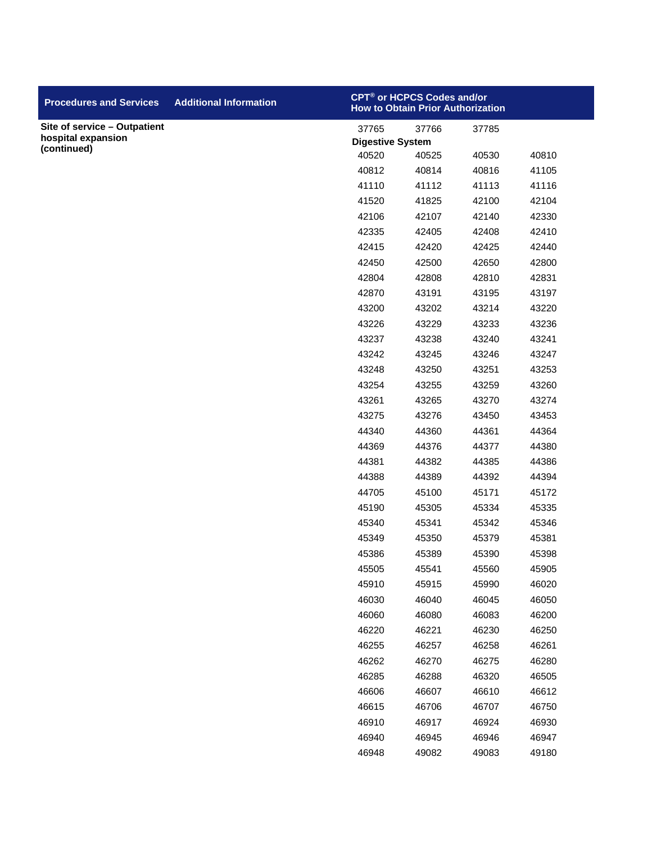| <b>Procedures and Services</b>    | <b>Additional Information</b> |                         | CPT <sup>®</sup> or HCPCS Codes and/or<br><b>How to Obtain Prior Authorization</b> |       |       |
|-----------------------------------|-------------------------------|-------------------------|------------------------------------------------------------------------------------|-------|-------|
| Site of service - Outpatient      |                               | 37765                   | 37766                                                                              | 37785 |       |
| hospital expansion<br>(continued) |                               | <b>Digestive System</b> |                                                                                    |       |       |
|                                   |                               | 40520                   | 40525                                                                              | 40530 | 40810 |
|                                   |                               | 40812                   | 40814                                                                              | 40816 | 41105 |
|                                   |                               | 41110                   | 41112                                                                              | 41113 | 41116 |
|                                   |                               | 41520                   | 41825                                                                              | 42100 | 42104 |
|                                   |                               | 42106                   | 42107                                                                              | 42140 | 42330 |
|                                   |                               | 42335                   | 42405                                                                              | 42408 | 42410 |
|                                   |                               | 42415                   | 42420                                                                              | 42425 | 42440 |
|                                   |                               | 42450                   | 42500                                                                              | 42650 | 42800 |
|                                   |                               | 42804                   | 42808                                                                              | 42810 | 42831 |
|                                   |                               | 42870                   | 43191                                                                              | 43195 | 43197 |
|                                   |                               | 43200                   | 43202                                                                              | 43214 | 43220 |
|                                   |                               | 43226                   | 43229                                                                              | 43233 | 43236 |
|                                   |                               | 43237                   | 43238                                                                              | 43240 | 43241 |
|                                   |                               | 43242                   | 43245                                                                              | 43246 | 43247 |
|                                   |                               | 43248                   | 43250                                                                              | 43251 | 43253 |
|                                   |                               | 43254                   | 43255                                                                              | 43259 | 43260 |
|                                   |                               | 43261                   | 43265                                                                              | 43270 | 43274 |
|                                   |                               | 43275                   | 43276                                                                              | 43450 | 43453 |
|                                   |                               | 44340                   | 44360                                                                              | 44361 | 44364 |
|                                   |                               | 44369                   | 44376                                                                              | 44377 | 44380 |
|                                   |                               | 44381                   | 44382                                                                              | 44385 | 44386 |
|                                   |                               | 44388                   | 44389                                                                              | 44392 | 44394 |
|                                   |                               | 44705                   | 45100                                                                              | 45171 | 45172 |
|                                   |                               | 45190                   | 45305                                                                              | 45334 | 45335 |
|                                   |                               | 45340                   | 45341                                                                              | 45342 | 45346 |
|                                   |                               | 45349                   | 45350                                                                              | 45379 | 45381 |
|                                   |                               | 45386                   | 45389                                                                              | 45390 | 45398 |
|                                   |                               | 45505                   | 45541                                                                              | 45560 | 45905 |
|                                   |                               | 45910                   | 45915                                                                              | 45990 | 46020 |
|                                   |                               | 46030                   | 46040                                                                              | 46045 | 46050 |
|                                   |                               | 46060                   | 46080                                                                              | 46083 | 46200 |
|                                   |                               | 46220                   | 46221                                                                              | 46230 | 46250 |
|                                   |                               | 46255                   | 46257                                                                              | 46258 | 46261 |
|                                   |                               | 46262                   | 46270                                                                              | 46275 | 46280 |
|                                   |                               | 46285                   | 46288                                                                              | 46320 | 46505 |
|                                   |                               | 46606                   | 46607                                                                              | 46610 | 46612 |
|                                   |                               | 46615                   | 46706                                                                              | 46707 | 46750 |
|                                   |                               | 46910                   | 46917                                                                              | 46924 | 46930 |
|                                   |                               | 46940                   | 46945                                                                              | 46946 | 46947 |
|                                   |                               | 46948                   | 49082                                                                              | 49083 | 49180 |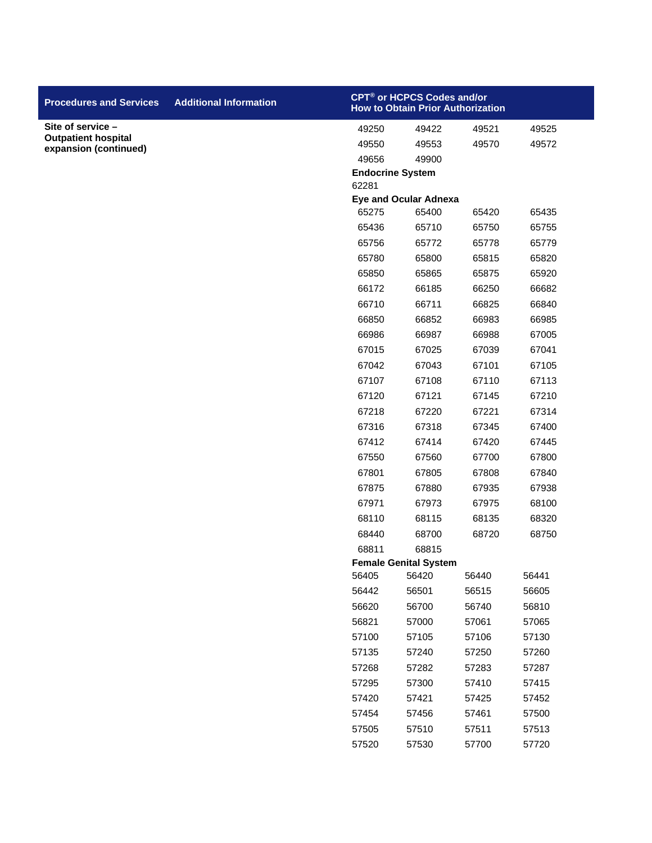| <b>Procedures and Services</b>                      | <b>Additional Information</b> |                         | CPT <sup>®</sup> or HCPCS Codes and/or<br><b>How to Obtain Prior Authorization</b> |       |       |
|-----------------------------------------------------|-------------------------------|-------------------------|------------------------------------------------------------------------------------|-------|-------|
| Site of service -                                   |                               | 49250                   | 49422                                                                              | 49521 | 49525 |
| <b>Outpatient hospital</b><br>expansion (continued) |                               | 49550                   | 49553                                                                              | 49570 | 49572 |
|                                                     |                               | 49656                   | 49900                                                                              |       |       |
|                                                     |                               | <b>Endocrine System</b> |                                                                                    |       |       |
|                                                     |                               | 62281                   |                                                                                    |       |       |
|                                                     |                               |                         | <b>Eye and Ocular Adnexa</b>                                                       |       |       |
|                                                     |                               | 65275                   | 65400                                                                              | 65420 | 65435 |
|                                                     |                               | 65436                   | 65710                                                                              | 65750 | 65755 |
|                                                     |                               | 65756                   | 65772                                                                              | 65778 | 65779 |
|                                                     |                               | 65780                   | 65800                                                                              | 65815 | 65820 |
|                                                     |                               | 65850                   | 65865                                                                              | 65875 | 65920 |
|                                                     |                               | 66172                   | 66185                                                                              | 66250 | 66682 |
|                                                     |                               | 66710                   | 66711                                                                              | 66825 | 66840 |
|                                                     |                               | 66850                   | 66852                                                                              | 66983 | 66985 |
|                                                     |                               | 66986                   | 66987                                                                              | 66988 | 67005 |
|                                                     |                               | 67015                   | 67025                                                                              | 67039 | 67041 |
|                                                     |                               | 67042                   | 67043                                                                              | 67101 | 67105 |
|                                                     |                               | 67107                   | 67108                                                                              | 67110 | 67113 |
|                                                     |                               | 67120                   | 67121                                                                              | 67145 | 67210 |
|                                                     |                               | 67218                   | 67220                                                                              | 67221 | 67314 |
|                                                     |                               | 67316                   | 67318                                                                              | 67345 | 67400 |
|                                                     |                               | 67412                   | 67414                                                                              | 67420 | 67445 |
|                                                     |                               | 67550                   | 67560                                                                              | 67700 | 67800 |
|                                                     |                               | 67801                   | 67805                                                                              | 67808 | 67840 |
|                                                     |                               | 67875                   | 67880                                                                              | 67935 | 67938 |
|                                                     |                               | 67971                   | 67973                                                                              | 67975 | 68100 |
|                                                     |                               | 68110                   | 68115                                                                              | 68135 | 68320 |
|                                                     |                               | 68440                   | 68700                                                                              | 68720 | 68750 |
|                                                     |                               | 68811                   | 68815<br><b>Female Genital System</b>                                              |       |       |
|                                                     |                               | 56405                   | 56420                                                                              | 56440 | 56441 |
|                                                     |                               | 56442                   | 56501                                                                              | 56515 | 56605 |
|                                                     |                               | 56620                   | 56700                                                                              | 56740 | 56810 |
|                                                     |                               | 56821                   | 57000                                                                              | 57061 | 57065 |
|                                                     |                               | 57100                   | 57105                                                                              | 57106 | 57130 |
|                                                     |                               | 57135                   | 57240                                                                              | 57250 | 57260 |
|                                                     |                               | 57268                   | 57282                                                                              | 57283 | 57287 |
|                                                     |                               | 57295                   | 57300                                                                              | 57410 | 57415 |
|                                                     |                               | 57420                   | 57421                                                                              | 57425 | 57452 |
|                                                     |                               | 57454                   | 57456                                                                              | 57461 | 57500 |
|                                                     |                               | 57505                   | 57510                                                                              | 57511 | 57513 |
|                                                     |                               | 57520                   | 57530                                                                              | 57700 | 57720 |
|                                                     |                               |                         |                                                                                    |       |       |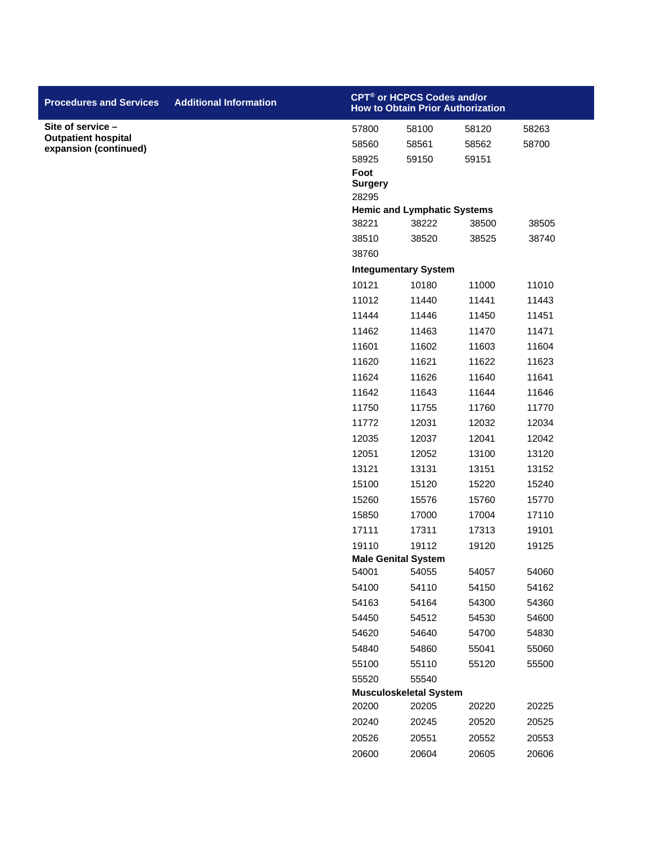| <b>Procedures and Services</b>                      | <b>Additional Information</b> |                                 | CPT <sup>®</sup> or HCPCS Codes and/or<br><b>How to Obtain Prior Authorization</b> |       |       |
|-----------------------------------------------------|-------------------------------|---------------------------------|------------------------------------------------------------------------------------|-------|-------|
| Site of service -                                   |                               | 57800                           | 58100                                                                              | 58120 | 58263 |
| <b>Outpatient hospital</b><br>expansion (continued) |                               | 58560                           | 58561                                                                              | 58562 | 58700 |
|                                                     |                               | 58925                           | 59150                                                                              | 59151 |       |
|                                                     |                               | Foot<br><b>Surgery</b><br>28295 |                                                                                    |       |       |
|                                                     |                               |                                 | <b>Hemic and Lymphatic Systems</b>                                                 |       |       |
|                                                     |                               | 38221                           | 38222                                                                              | 38500 | 38505 |
|                                                     |                               | 38510                           | 38520                                                                              | 38525 | 38740 |
|                                                     |                               | 38760                           |                                                                                    |       |       |
|                                                     |                               |                                 | <b>Integumentary System</b>                                                        |       |       |
|                                                     |                               | 10121                           | 10180                                                                              | 11000 | 11010 |
|                                                     |                               | 11012                           | 11440                                                                              | 11441 | 11443 |
|                                                     |                               | 11444                           | 11446                                                                              | 11450 | 11451 |
|                                                     |                               | 11462                           | 11463                                                                              | 11470 | 11471 |
|                                                     |                               | 11601                           | 11602                                                                              | 11603 | 11604 |
|                                                     |                               | 11620                           | 11621                                                                              | 11622 | 11623 |
|                                                     |                               | 11624                           | 11626                                                                              | 11640 | 11641 |
|                                                     |                               | 11642                           | 11643                                                                              | 11644 | 11646 |
|                                                     |                               | 11750                           | 11755                                                                              | 11760 | 11770 |
|                                                     |                               | 11772                           | 12031                                                                              | 12032 | 12034 |
|                                                     |                               | 12035                           | 12037                                                                              | 12041 | 12042 |
|                                                     |                               | 12051                           | 12052                                                                              | 13100 | 13120 |
|                                                     |                               | 13121                           | 13131                                                                              | 13151 | 13152 |
|                                                     |                               | 15100                           | 15120                                                                              | 15220 | 15240 |
|                                                     |                               | 15260                           | 15576                                                                              | 15760 | 15770 |
|                                                     |                               | 15850                           | 17000                                                                              | 17004 | 17110 |
|                                                     |                               | 17111                           | 17311                                                                              | 17313 | 19101 |
|                                                     |                               | 19110                           | 19112                                                                              | 19120 | 19125 |
|                                                     |                               |                                 | <b>Male Genital System</b>                                                         |       |       |
|                                                     |                               | 54001                           | 54055                                                                              | 54057 | 54060 |
|                                                     |                               | 54100                           | 54110                                                                              | 54150 | 54162 |
|                                                     |                               | 54163                           | 54164                                                                              | 54300 | 54360 |
|                                                     |                               | 54450                           | 54512                                                                              | 54530 | 54600 |
|                                                     |                               | 54620                           | 54640                                                                              | 54700 | 54830 |
|                                                     |                               | 54840                           | 54860                                                                              | 55041 | 55060 |
|                                                     |                               | 55100                           | 55110                                                                              | 55120 | 55500 |
|                                                     |                               | 55520                           | 55540<br><b>Musculoskeletal System</b>                                             |       |       |
|                                                     |                               | 20200                           | 20205                                                                              | 20220 | 20225 |
|                                                     |                               | 20240                           | 20245                                                                              | 20520 | 20525 |
|                                                     |                               | 20526                           | 20551                                                                              | 20552 | 20553 |
|                                                     |                               | 20600                           | 20604                                                                              | 20605 | 20606 |
|                                                     |                               |                                 |                                                                                    |       |       |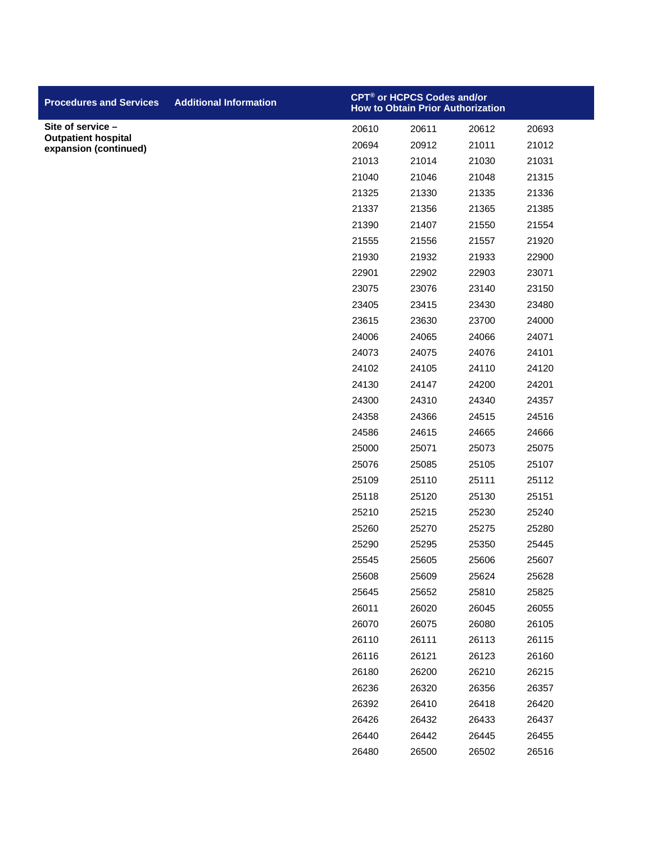| <b>Procedures and Services</b>                      | <b>Additional Information</b> |       | CPT <sup>®</sup> or HCPCS Codes and/or<br><b>How to Obtain Prior Authorization</b> |       |       |
|-----------------------------------------------------|-------------------------------|-------|------------------------------------------------------------------------------------|-------|-------|
| Site of service -                                   |                               | 20610 | 20611                                                                              | 20612 | 20693 |
| <b>Outpatient hospital</b><br>expansion (continued) |                               | 20694 | 20912                                                                              | 21011 | 21012 |
|                                                     |                               | 21013 | 21014                                                                              | 21030 | 21031 |
|                                                     |                               | 21040 | 21046                                                                              | 21048 | 21315 |
|                                                     |                               | 21325 | 21330                                                                              | 21335 | 21336 |
|                                                     |                               | 21337 | 21356                                                                              | 21365 | 21385 |
|                                                     |                               | 21390 | 21407                                                                              | 21550 | 21554 |
|                                                     |                               | 21555 | 21556                                                                              | 21557 | 21920 |
|                                                     |                               | 21930 | 21932                                                                              | 21933 | 22900 |
|                                                     |                               | 22901 | 22902                                                                              | 22903 | 23071 |
|                                                     |                               | 23075 | 23076                                                                              | 23140 | 23150 |
|                                                     |                               | 23405 | 23415                                                                              | 23430 | 23480 |
|                                                     |                               | 23615 | 23630                                                                              | 23700 | 24000 |
|                                                     |                               | 24006 | 24065                                                                              | 24066 | 24071 |
|                                                     |                               | 24073 | 24075                                                                              | 24076 | 24101 |
|                                                     |                               | 24102 | 24105                                                                              | 24110 | 24120 |
|                                                     |                               | 24130 | 24147                                                                              | 24200 | 24201 |
|                                                     |                               | 24300 | 24310                                                                              | 24340 | 24357 |
|                                                     |                               | 24358 | 24366                                                                              | 24515 | 24516 |
|                                                     |                               | 24586 | 24615                                                                              | 24665 | 24666 |
|                                                     |                               | 25000 | 25071                                                                              | 25073 | 25075 |
|                                                     |                               | 25076 | 25085                                                                              | 25105 | 25107 |
|                                                     |                               | 25109 | 25110                                                                              | 25111 | 25112 |
|                                                     |                               | 25118 | 25120                                                                              | 25130 | 25151 |
|                                                     |                               | 25210 | 25215                                                                              | 25230 | 25240 |
|                                                     |                               | 25260 | 25270                                                                              | 25275 | 25280 |
|                                                     |                               | 25290 | 25295                                                                              | 25350 | 25445 |
|                                                     |                               | 25545 | 25605                                                                              | 25606 | 25607 |
|                                                     |                               | 25608 | 25609                                                                              | 25624 | 25628 |
|                                                     |                               | 25645 | 25652                                                                              | 25810 | 25825 |
|                                                     |                               | 26011 | 26020                                                                              | 26045 | 26055 |
|                                                     |                               | 26070 | 26075                                                                              | 26080 | 26105 |
|                                                     |                               | 26110 | 26111                                                                              | 26113 | 26115 |
|                                                     |                               | 26116 | 26121                                                                              | 26123 | 26160 |
|                                                     |                               | 26180 | 26200                                                                              | 26210 | 26215 |
|                                                     |                               | 26236 | 26320                                                                              | 26356 | 26357 |
|                                                     |                               | 26392 | 26410                                                                              | 26418 | 26420 |
|                                                     |                               | 26426 | 26432                                                                              | 26433 | 26437 |
|                                                     |                               | 26440 | 26442                                                                              | 26445 | 26455 |
|                                                     |                               | 26480 | 26500                                                                              | 26502 | 26516 |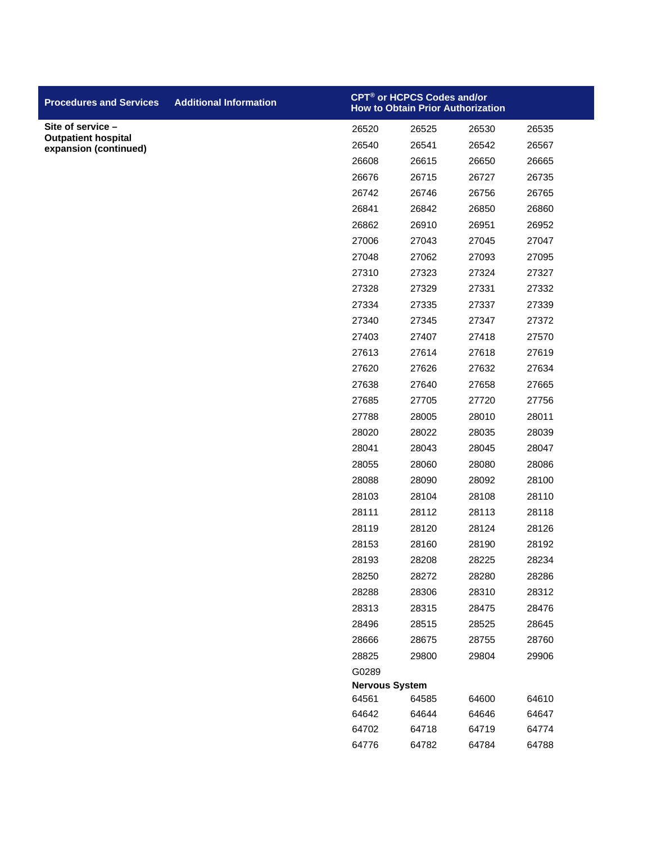| <b>Procedures and Services</b>                      | <b>Additional Information</b> | CPT® or HCPCS Codes and/or<br><b>How to Obtain Prior Authorization</b> |                |                |                |
|-----------------------------------------------------|-------------------------------|------------------------------------------------------------------------|----------------|----------------|----------------|
| Site of service -                                   |                               | 26520                                                                  | 26525          | 26530          | 26535          |
| <b>Outpatient hospital</b><br>expansion (continued) |                               | 26540                                                                  | 26541          | 26542          | 26567          |
|                                                     |                               | 26608                                                                  | 26615          | 26650          | 26665          |
|                                                     |                               | 26676                                                                  | 26715          | 26727          | 26735          |
|                                                     |                               | 26742                                                                  | 26746          | 26756          | 26765          |
|                                                     |                               | 26841                                                                  | 26842          | 26850          | 26860          |
|                                                     |                               | 26862                                                                  | 26910          | 26951          | 26952          |
|                                                     |                               | 27006                                                                  | 27043          | 27045          | 27047          |
|                                                     |                               | 27048                                                                  | 27062          | 27093          | 27095          |
|                                                     |                               | 27310                                                                  | 27323          | 27324          | 27327          |
|                                                     |                               | 27328                                                                  | 27329          | 27331          | 27332          |
|                                                     |                               | 27334                                                                  | 27335          | 27337          | 27339          |
|                                                     |                               | 27340                                                                  | 27345          | 27347          | 27372          |
|                                                     |                               | 27403                                                                  | 27407          | 27418          | 27570          |
|                                                     |                               | 27613                                                                  | 27614          | 27618          | 27619          |
|                                                     |                               | 27620                                                                  | 27626          | 27632          | 27634          |
|                                                     |                               | 27638                                                                  | 27640          | 27658          | 27665          |
|                                                     |                               | 27685                                                                  | 27705          | 27720          | 27756          |
|                                                     |                               | 27788                                                                  | 28005          | 28010          | 28011          |
|                                                     |                               | 28020                                                                  | 28022          | 28035          | 28039          |
|                                                     |                               | 28041                                                                  | 28043          | 28045          | 28047          |
|                                                     |                               | 28055                                                                  | 28060          | 28080          | 28086          |
|                                                     |                               | 28088                                                                  | 28090          | 28092          | 28100          |
|                                                     |                               | 28103                                                                  | 28104          | 28108          | 28110          |
|                                                     |                               | 28111                                                                  | 28112          | 28113          | 28118          |
|                                                     |                               | 28119                                                                  | 28120          | 28124          | 28126          |
|                                                     |                               | 28153                                                                  | 28160          | 28190          | 28192          |
|                                                     |                               | 28193                                                                  | 28208          | 28225          | 28234          |
|                                                     |                               | 28250                                                                  | 28272          | 28280          | 28286          |
|                                                     |                               | 28288                                                                  | 28306          | 28310          | 28312          |
|                                                     |                               | 28313                                                                  | 28315          | 28475          | 28476          |
|                                                     |                               | 28496                                                                  | 28515          | 28525          | 28645          |
|                                                     |                               | 28666                                                                  | 28675          | 28755          | 28760          |
|                                                     |                               | 28825                                                                  | 29800          | 29804          | 29906          |
|                                                     |                               | G0289                                                                  |                |                |                |
|                                                     |                               | <b>Nervous System</b>                                                  |                |                |                |
|                                                     |                               | 64561<br>64642                                                         | 64585<br>64644 | 64600<br>64646 | 64610<br>64647 |
|                                                     |                               | 64702                                                                  | 64718          | 64719          | 64774          |
|                                                     |                               | 64776                                                                  | 64782          | 64784          | 64788          |
|                                                     |                               |                                                                        |                |                |                |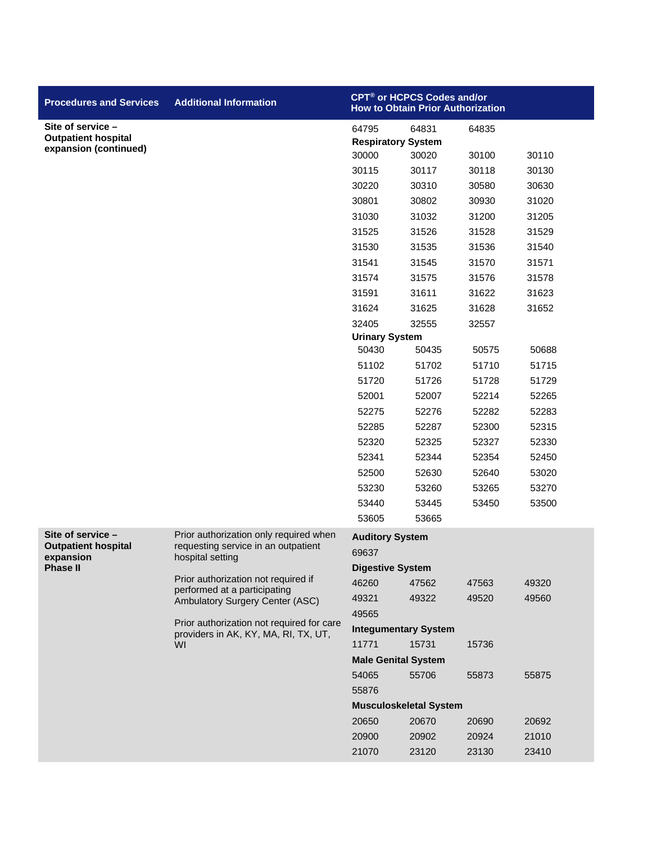| <b>Procedures and Services</b>                  | <b>Additional Information</b>                                                 | CPT® or HCPCS Codes and/or<br><b>How to Obtain Prior Authorization</b> |       |       |       |
|-------------------------------------------------|-------------------------------------------------------------------------------|------------------------------------------------------------------------|-------|-------|-------|
| Site of service -<br><b>Outpatient hospital</b> |                                                                               | 64795<br><b>Respiratory System</b>                                     | 64831 | 64835 |       |
| expansion (continued)                           |                                                                               | 30000                                                                  | 30020 | 30100 | 30110 |
|                                                 |                                                                               | 30115                                                                  | 30117 | 30118 | 30130 |
|                                                 |                                                                               | 30220                                                                  | 30310 | 30580 | 30630 |
|                                                 |                                                                               | 30801                                                                  | 30802 | 30930 | 31020 |
|                                                 |                                                                               | 31030                                                                  | 31032 | 31200 | 31205 |
|                                                 |                                                                               | 31525                                                                  | 31526 | 31528 | 31529 |
|                                                 |                                                                               | 31530                                                                  | 31535 | 31536 | 31540 |
|                                                 |                                                                               | 31541                                                                  | 31545 | 31570 | 31571 |
|                                                 |                                                                               | 31574                                                                  | 31575 | 31576 | 31578 |
|                                                 |                                                                               | 31591                                                                  | 31611 | 31622 | 31623 |
|                                                 |                                                                               | 31624                                                                  | 31625 | 31628 | 31652 |
|                                                 |                                                                               | 32405                                                                  | 32555 | 32557 |       |
|                                                 |                                                                               | <b>Urinary System</b>                                                  |       |       |       |
|                                                 |                                                                               | 50430                                                                  | 50435 | 50575 | 50688 |
|                                                 |                                                                               | 51102                                                                  | 51702 | 51710 | 51715 |
|                                                 |                                                                               | 51720                                                                  | 51726 | 51728 | 51729 |
|                                                 |                                                                               | 52001                                                                  | 52007 | 52214 | 52265 |
|                                                 |                                                                               | 52275                                                                  | 52276 | 52282 | 52283 |
|                                                 |                                                                               | 52285                                                                  | 52287 | 52300 | 52315 |
|                                                 |                                                                               | 52320                                                                  | 52325 | 52327 | 52330 |
|                                                 |                                                                               | 52341                                                                  | 52344 | 52354 | 52450 |
|                                                 |                                                                               | 52500                                                                  | 52630 | 52640 | 53020 |
|                                                 |                                                                               | 53230                                                                  | 53260 | 53265 | 53270 |
|                                                 |                                                                               | 53440                                                                  | 53445 | 53450 | 53500 |
|                                                 |                                                                               | 53605                                                                  | 53665 |       |       |
| Site of service -<br><b>Outpatient hospital</b> | Prior authorization only required when<br>requesting service in an outpatient | <b>Auditory System</b>                                                 |       |       |       |
| expansion                                       | hospital setting                                                              | 69637                                                                  |       |       |       |
| <b>Phase II</b>                                 |                                                                               | <b>Digestive System</b>                                                |       |       |       |
|                                                 | Prior authorization not required if<br>performed at a participating           | 46260                                                                  | 47562 | 47563 | 49320 |
|                                                 | Ambulatory Surgery Center (ASC)                                               | 49321                                                                  | 49322 | 49520 | 49560 |
|                                                 | Prior authorization not required for care                                     | 49565                                                                  |       |       |       |
|                                                 | providers in AK, KY, MA, RI, TX, UT,                                          | <b>Integumentary System</b>                                            |       |       |       |
|                                                 | WI                                                                            | 11771                                                                  | 15731 | 15736 |       |
|                                                 |                                                                               | <b>Male Genital System</b>                                             |       |       |       |
|                                                 |                                                                               | 54065                                                                  | 55706 | 55873 | 55875 |
|                                                 |                                                                               | 55876                                                                  |       |       |       |
|                                                 |                                                                               | <b>Musculoskeletal System</b>                                          |       |       |       |
|                                                 |                                                                               | 20650                                                                  | 20670 | 20690 | 20692 |
|                                                 |                                                                               | 20900                                                                  | 20902 | 20924 | 21010 |
|                                                 |                                                                               | 21070                                                                  | 23120 | 23130 | 23410 |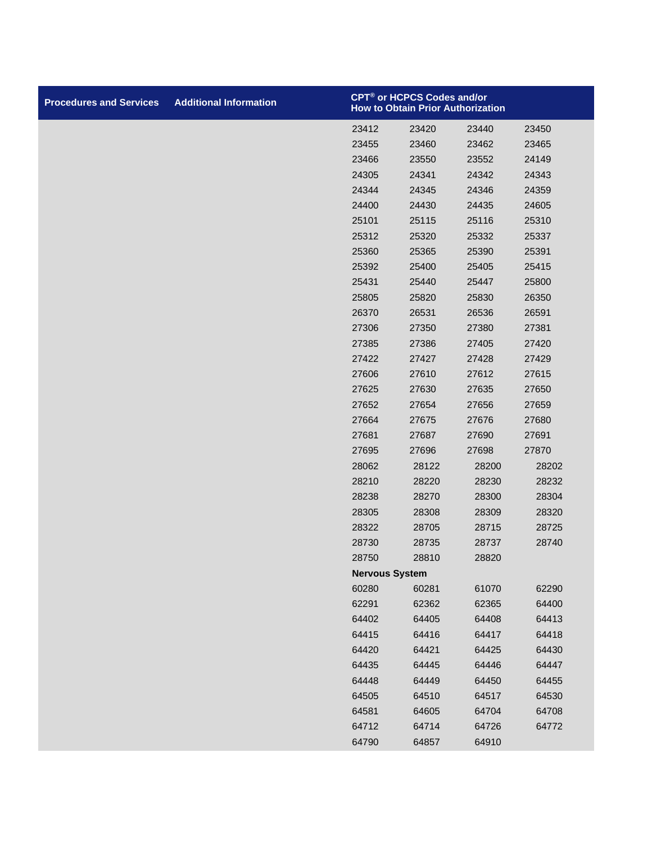| <b>Procedures and Services</b> | <b>Additional Information</b> | CPT <sup>®</sup> or HCPCS Codes and/or<br><b>How to Obtain Prior Authorization</b> |       |       |       |
|--------------------------------|-------------------------------|------------------------------------------------------------------------------------|-------|-------|-------|
|                                |                               | 23412                                                                              | 23420 | 23440 | 23450 |
|                                |                               | 23455                                                                              | 23460 | 23462 | 23465 |
|                                |                               | 23466                                                                              | 23550 | 23552 | 24149 |
|                                |                               | 24305                                                                              | 24341 | 24342 | 24343 |
|                                |                               | 24344                                                                              | 24345 | 24346 | 24359 |
|                                |                               | 24400                                                                              | 24430 | 24435 | 24605 |
|                                |                               | 25101                                                                              | 25115 | 25116 | 25310 |
|                                |                               | 25312                                                                              | 25320 | 25332 | 25337 |
|                                |                               | 25360                                                                              | 25365 | 25390 | 25391 |
|                                |                               | 25392                                                                              | 25400 | 25405 | 25415 |
|                                |                               | 25431                                                                              | 25440 | 25447 | 25800 |
|                                |                               | 25805                                                                              | 25820 | 25830 | 26350 |
|                                |                               | 26370                                                                              | 26531 | 26536 | 26591 |
|                                |                               | 27306                                                                              | 27350 | 27380 | 27381 |
|                                |                               | 27385                                                                              | 27386 | 27405 | 27420 |
|                                |                               | 27422                                                                              | 27427 | 27428 | 27429 |
|                                |                               | 27606                                                                              | 27610 | 27612 | 27615 |
|                                |                               | 27625                                                                              | 27630 | 27635 | 27650 |
|                                |                               | 27652                                                                              | 27654 | 27656 | 27659 |
|                                |                               | 27664                                                                              | 27675 | 27676 | 27680 |
|                                |                               | 27681                                                                              | 27687 | 27690 | 27691 |
|                                |                               | 27695                                                                              | 27696 | 27698 | 27870 |
|                                |                               | 28062                                                                              | 28122 | 28200 | 28202 |
|                                |                               | 28210                                                                              | 28220 | 28230 | 28232 |
|                                |                               | 28238                                                                              | 28270 | 28300 | 28304 |
|                                |                               | 28305                                                                              | 28308 | 28309 | 28320 |
|                                |                               | 28322                                                                              | 28705 | 28715 | 28725 |
|                                |                               | 28730                                                                              | 28735 | 28737 | 28740 |
|                                |                               | 28750                                                                              | 28810 | 28820 |       |
|                                |                               | <b>Nervous System</b>                                                              |       |       |       |
|                                |                               | 60280                                                                              | 60281 | 61070 | 62290 |
|                                |                               | 62291                                                                              | 62362 | 62365 | 64400 |
|                                |                               | 64402                                                                              | 64405 | 64408 | 64413 |
|                                |                               | 64415                                                                              | 64416 | 64417 | 64418 |
|                                |                               | 64420                                                                              | 64421 | 64425 | 64430 |
|                                |                               | 64435                                                                              | 64445 | 64446 | 64447 |
|                                |                               | 64448                                                                              | 64449 | 64450 | 64455 |
|                                |                               | 64505                                                                              | 64510 | 64517 | 64530 |
|                                |                               | 64581                                                                              | 64605 | 64704 | 64708 |
|                                |                               | 64712                                                                              | 64714 | 64726 | 64772 |
|                                |                               | 64790                                                                              | 64857 | 64910 |       |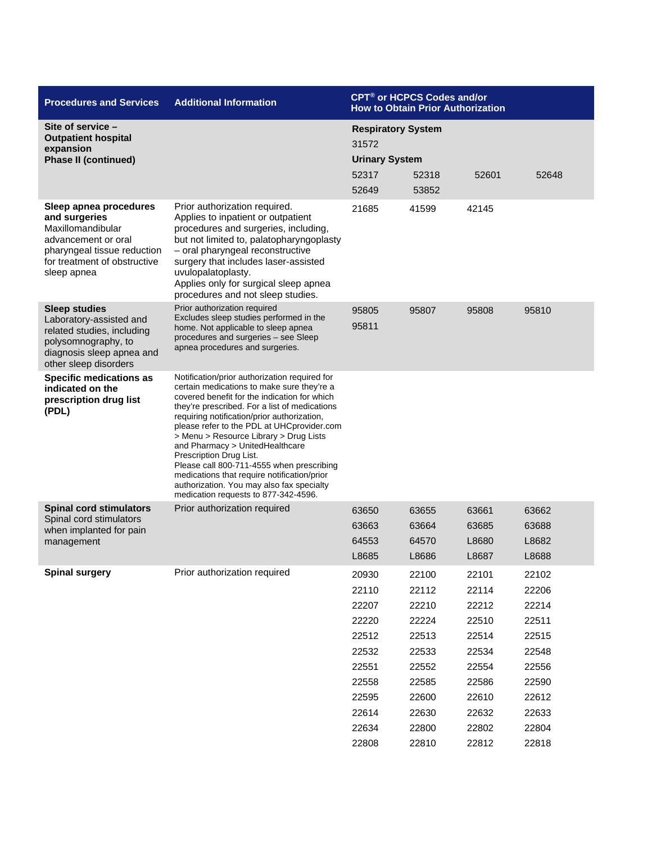| <b>Procedures and Services</b>                                                                                                                                    | <b>Additional Information</b>                                                                                                                                                                                                                                                                                                                                                                                                                                                                                                                                                      | CPT <sup>®</sup> or HCPCS Codes and/or<br><b>How to Obtain Prior Authorization</b>                       |                                                                                                          |                                                                                                          |                                                                                                          |
|-------------------------------------------------------------------------------------------------------------------------------------------------------------------|------------------------------------------------------------------------------------------------------------------------------------------------------------------------------------------------------------------------------------------------------------------------------------------------------------------------------------------------------------------------------------------------------------------------------------------------------------------------------------------------------------------------------------------------------------------------------------|----------------------------------------------------------------------------------------------------------|----------------------------------------------------------------------------------------------------------|----------------------------------------------------------------------------------------------------------|----------------------------------------------------------------------------------------------------------|
| Site of service -<br><b>Outpatient hospital</b><br>expansion                                                                                                      |                                                                                                                                                                                                                                                                                                                                                                                                                                                                                                                                                                                    | <b>Respiratory System</b><br>31572                                                                       |                                                                                                          |                                                                                                          |                                                                                                          |
| <b>Phase II (continued)</b>                                                                                                                                       |                                                                                                                                                                                                                                                                                                                                                                                                                                                                                                                                                                                    | <b>Urinary System</b>                                                                                    |                                                                                                          |                                                                                                          |                                                                                                          |
|                                                                                                                                                                   |                                                                                                                                                                                                                                                                                                                                                                                                                                                                                                                                                                                    | 52317<br>52649                                                                                           | 52318<br>53852                                                                                           | 52601                                                                                                    | 52648                                                                                                    |
| Sleep apnea procedures<br>and surgeries<br>Maxillomandibular<br>advancement or oral<br>pharyngeal tissue reduction<br>for treatment of obstructive<br>sleep apnea | Prior authorization required.<br>Applies to inpatient or outpatient<br>procedures and surgeries, including,<br>but not limited to, palatopharyngoplasty<br>- oral pharyngeal reconstructive<br>surgery that includes laser-assisted<br>uvulopalatoplasty.<br>Applies only for surgical sleep apnea<br>procedures and not sleep studies.                                                                                                                                                                                                                                            | 21685                                                                                                    | 41599                                                                                                    | 42145                                                                                                    |                                                                                                          |
| <b>Sleep studies</b><br>Laboratory-assisted and<br>related studies, including<br>polysomnography, to<br>diagnosis sleep apnea and<br>other sleep disorders        | Prior authorization required<br>Excludes sleep studies performed in the<br>home. Not applicable to sleep apnea<br>procedures and surgeries - see Sleep<br>apnea procedures and surgeries.                                                                                                                                                                                                                                                                                                                                                                                          | 95805<br>95811                                                                                           | 95807                                                                                                    | 95808                                                                                                    | 95810                                                                                                    |
| <b>Specific medications as</b><br>indicated on the<br>prescription drug list<br>(PDL)                                                                             | Notification/prior authorization required for<br>certain medications to make sure they're a<br>covered benefit for the indication for which<br>they're prescribed. For a list of medications<br>requiring notification/prior authorization,<br>please refer to the PDL at UHCprovider.com<br>> Menu > Resource Library > Drug Lists<br>and Pharmacy > UnitedHealthcare<br>Prescription Drug List.<br>Please call 800-711-4555 when prescribing<br>medications that require notification/prior<br>authorization. You may also fax specialty<br>medication requests to 877-342-4596. |                                                                                                          |                                                                                                          |                                                                                                          |                                                                                                          |
| <b>Spinal cord stimulators</b><br>Spinal cord stimulators<br>when implanted for pain<br>management                                                                | Prior authorization required                                                                                                                                                                                                                                                                                                                                                                                                                                                                                                                                                       | 63650<br>63663<br>64553<br>L8685                                                                         | 63655<br>63664<br>64570<br>L8686                                                                         | 63661<br>63685<br>L8680<br>L8687                                                                         | 63662<br>63688<br>L8682<br>L8688                                                                         |
| <b>Spinal surgery</b>                                                                                                                                             | Prior authorization required                                                                                                                                                                                                                                                                                                                                                                                                                                                                                                                                                       | 20930<br>22110<br>22207<br>22220<br>22512<br>22532<br>22551<br>22558<br>22595<br>22614<br>22634<br>22808 | 22100<br>22112<br>22210<br>22224<br>22513<br>22533<br>22552<br>22585<br>22600<br>22630<br>22800<br>22810 | 22101<br>22114<br>22212<br>22510<br>22514<br>22534<br>22554<br>22586<br>22610<br>22632<br>22802<br>22812 | 22102<br>22206<br>22214<br>22511<br>22515<br>22548<br>22556<br>22590<br>22612<br>22633<br>22804<br>22818 |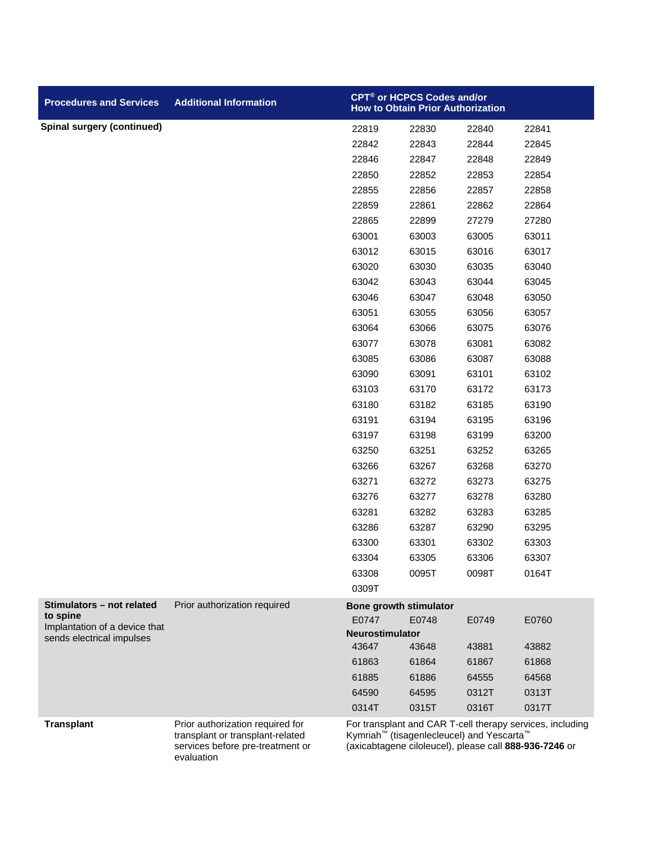| <b>Procedures and Services</b>            | <b>Additional Information</b>                                                                            | CPT <sup>®</sup> or HCPCS Codes and/or<br>How to Obtain Prior Authorization |                                                                                                                             |       |                                                           |
|-------------------------------------------|----------------------------------------------------------------------------------------------------------|-----------------------------------------------------------------------------|-----------------------------------------------------------------------------------------------------------------------------|-------|-----------------------------------------------------------|
| <b>Spinal surgery (continued)</b>         |                                                                                                          | 22819                                                                       | 22830                                                                                                                       | 22840 | 22841                                                     |
|                                           |                                                                                                          | 22842                                                                       | 22843                                                                                                                       | 22844 | 22845                                                     |
|                                           |                                                                                                          | 22846                                                                       | 22847                                                                                                                       | 22848 | 22849                                                     |
|                                           |                                                                                                          | 22850                                                                       | 22852                                                                                                                       | 22853 | 22854                                                     |
|                                           |                                                                                                          | 22855                                                                       | 22856                                                                                                                       | 22857 | 22858                                                     |
|                                           |                                                                                                          | 22859                                                                       | 22861                                                                                                                       | 22862 | 22864                                                     |
|                                           |                                                                                                          | 22865                                                                       | 22899                                                                                                                       | 27279 | 27280                                                     |
|                                           |                                                                                                          | 63001                                                                       | 63003                                                                                                                       | 63005 | 63011                                                     |
|                                           |                                                                                                          | 63012                                                                       | 63015                                                                                                                       | 63016 | 63017                                                     |
|                                           |                                                                                                          | 63020                                                                       | 63030                                                                                                                       | 63035 | 63040                                                     |
|                                           |                                                                                                          | 63042                                                                       | 63043                                                                                                                       | 63044 | 63045                                                     |
|                                           |                                                                                                          | 63046                                                                       | 63047                                                                                                                       | 63048 | 63050                                                     |
|                                           |                                                                                                          | 63051                                                                       | 63055                                                                                                                       | 63056 | 63057                                                     |
|                                           |                                                                                                          | 63064                                                                       | 63066                                                                                                                       | 63075 | 63076                                                     |
|                                           |                                                                                                          | 63077                                                                       | 63078                                                                                                                       | 63081 | 63082                                                     |
|                                           |                                                                                                          | 63085                                                                       | 63086                                                                                                                       | 63087 | 63088                                                     |
|                                           |                                                                                                          | 63090                                                                       | 63091                                                                                                                       | 63101 | 63102                                                     |
|                                           |                                                                                                          | 63103                                                                       | 63170                                                                                                                       | 63172 | 63173                                                     |
|                                           |                                                                                                          | 63180                                                                       | 63182                                                                                                                       | 63185 | 63190                                                     |
|                                           |                                                                                                          | 63191                                                                       | 63194                                                                                                                       | 63195 | 63196                                                     |
|                                           |                                                                                                          | 63197                                                                       | 63198                                                                                                                       | 63199 | 63200                                                     |
|                                           |                                                                                                          | 63250                                                                       | 63251                                                                                                                       | 63252 | 63265                                                     |
|                                           |                                                                                                          | 63266                                                                       | 63267                                                                                                                       | 63268 | 63270                                                     |
|                                           |                                                                                                          | 63271                                                                       | 63272                                                                                                                       | 63273 | 63275                                                     |
|                                           |                                                                                                          | 63276                                                                       | 63277                                                                                                                       | 63278 | 63280                                                     |
|                                           |                                                                                                          | 63281                                                                       | 63282                                                                                                                       | 63283 | 63285                                                     |
|                                           |                                                                                                          | 63286                                                                       | 63287                                                                                                                       | 63290 | 63295                                                     |
|                                           |                                                                                                          | 63300                                                                       | 63301                                                                                                                       | 63302 | 63303                                                     |
|                                           |                                                                                                          | 63304                                                                       | 63305                                                                                                                       | 63306 | 63307                                                     |
|                                           |                                                                                                          | 63308                                                                       | 0095T                                                                                                                       | 0098T | 0164T                                                     |
|                                           |                                                                                                          | 0309T                                                                       |                                                                                                                             |       |                                                           |
| Stimulators - not related                 | Prior authorization required                                                                             |                                                                             | <b>Bone growth stimulator</b>                                                                                               |       |                                                           |
| to spine<br>Implantation of a device that |                                                                                                          | E0747                                                                       | E0748                                                                                                                       | E0749 | E0760                                                     |
| sends electrical impulses                 |                                                                                                          | <b>Neurostimulator</b>                                                      |                                                                                                                             |       |                                                           |
|                                           |                                                                                                          | 43647                                                                       | 43648                                                                                                                       | 43881 | 43882                                                     |
|                                           |                                                                                                          | 61863                                                                       | 61864                                                                                                                       | 61867 | 61868                                                     |
|                                           |                                                                                                          | 61885                                                                       | 61886                                                                                                                       | 64555 | 64568                                                     |
|                                           |                                                                                                          | 64590                                                                       | 64595                                                                                                                       | 0312T | 0313T                                                     |
|                                           |                                                                                                          | 0314T                                                                       | 0315T                                                                                                                       | 0316T | 0317T                                                     |
| <b>Transplant</b>                         | Prior authorization required for<br>transplant or transplant-related<br>services before pre-treatment or |                                                                             | Kymriah <sup>™</sup> (tisagenlecleucel) and Yescarta <sup>™</sup><br>(axicabtagene ciloleucel), please call 888-936-7246 or |       | For transplant and CAR T-cell therapy services, including |

evaluation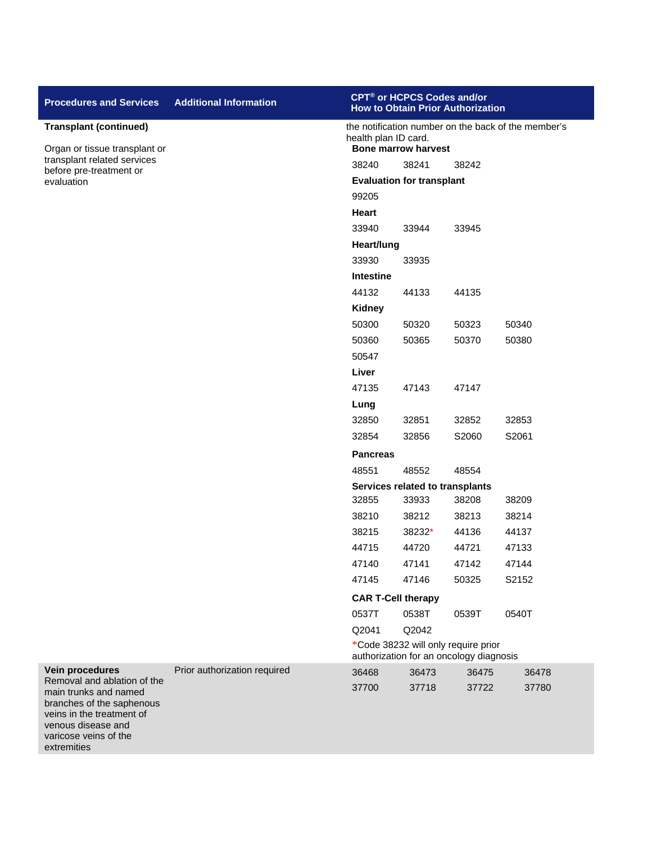| <b>Procedures and Services</b>                                                                                                                                               | <b>Additional Information</b> | CPT <sup>®</sup> or HCPCS Codes and/or<br><b>How to Obtain Prior Authorization</b> |                                                                                |       |       |  |
|------------------------------------------------------------------------------------------------------------------------------------------------------------------------------|-------------------------------|------------------------------------------------------------------------------------|--------------------------------------------------------------------------------|-------|-------|--|
| <b>Transplant (continued)</b>                                                                                                                                                |                               | the notification number on the back of the member's<br>health plan ID card.        |                                                                                |       |       |  |
| Organ or tissue transplant or<br>transplant related services                                                                                                                 |                               | <b>Bone marrow harvest</b>                                                         |                                                                                |       |       |  |
| before pre-treatment or                                                                                                                                                      |                               | 38240<br>38241<br>38242                                                            |                                                                                |       |       |  |
| evaluation                                                                                                                                                                   |                               | <b>Evaluation for transplant</b>                                                   |                                                                                |       |       |  |
|                                                                                                                                                                              |                               | 99205<br>Heart                                                                     |                                                                                |       |       |  |
|                                                                                                                                                                              |                               | 33940                                                                              | 33944                                                                          | 33945 |       |  |
|                                                                                                                                                                              |                               | Heart/lung                                                                         |                                                                                |       |       |  |
|                                                                                                                                                                              |                               | 33930                                                                              | 33935                                                                          |       |       |  |
|                                                                                                                                                                              |                               | <b>Intestine</b>                                                                   |                                                                                |       |       |  |
|                                                                                                                                                                              |                               | 44132                                                                              | 44133                                                                          | 44135 |       |  |
|                                                                                                                                                                              |                               | <b>Kidney</b>                                                                      |                                                                                |       |       |  |
|                                                                                                                                                                              |                               | 50300                                                                              | 50320                                                                          | 50323 | 50340 |  |
|                                                                                                                                                                              |                               | 50360                                                                              | 50365                                                                          | 50370 | 50380 |  |
|                                                                                                                                                                              |                               | 50547                                                                              |                                                                                |       |       |  |
|                                                                                                                                                                              |                               | Liver                                                                              |                                                                                |       |       |  |
|                                                                                                                                                                              |                               | 47135                                                                              | 47143                                                                          | 47147 |       |  |
|                                                                                                                                                                              |                               | Lung                                                                               |                                                                                |       |       |  |
|                                                                                                                                                                              |                               | 32850                                                                              | 32851                                                                          | 32852 | 32853 |  |
|                                                                                                                                                                              |                               | 32854                                                                              | 32856                                                                          | S2060 | S2061 |  |
|                                                                                                                                                                              |                               | <b>Pancreas</b>                                                                    |                                                                                |       |       |  |
|                                                                                                                                                                              |                               | 48551                                                                              | 48552                                                                          | 48554 |       |  |
|                                                                                                                                                                              |                               | Services related to transplants                                                    |                                                                                |       |       |  |
|                                                                                                                                                                              |                               | 32855                                                                              | 33933                                                                          | 38208 | 38209 |  |
|                                                                                                                                                                              |                               | 38210                                                                              | 38212                                                                          | 38213 | 38214 |  |
|                                                                                                                                                                              |                               | 38215                                                                              | 38232*                                                                         | 44136 | 44137 |  |
|                                                                                                                                                                              |                               | 44715                                                                              | 44720                                                                          | 44721 | 47133 |  |
|                                                                                                                                                                              |                               | 47140                                                                              | 47141                                                                          | 47142 | 47144 |  |
|                                                                                                                                                                              |                               | 47145                                                                              | 47146                                                                          | 50325 | S2152 |  |
|                                                                                                                                                                              |                               | <b>CAR T-Cell therapy</b>                                                          |                                                                                |       |       |  |
|                                                                                                                                                                              |                               | 0537T                                                                              | 0538T                                                                          | 0539T | 0540T |  |
|                                                                                                                                                                              |                               | Q2041                                                                              | Q2042                                                                          |       |       |  |
|                                                                                                                                                                              |                               |                                                                                    | *Code 38232 will only require prior<br>authorization for an oncology diagnosis |       |       |  |
| Vein procedures                                                                                                                                                              | Prior authorization required  | 36468                                                                              | 36473                                                                          | 36475 | 36478 |  |
| Removal and ablation of the<br>main trunks and named<br>branches of the saphenous<br>veins in the treatment of<br>venous disease and<br>varicose veins of the<br>extremities |                               | 37700                                                                              | 37718                                                                          | 37722 | 37780 |  |